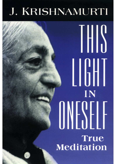# J. KRISHNAMURTI

IN **True Meditation**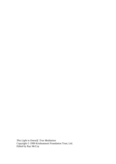*This Light in Oneself: True Meditation*  Copyright © 1999 Krishnamurti Foundation Trust, Ltd. Edited by Ray McCoy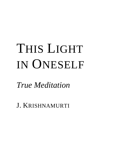# THIS LIGHT IN ONESELF

*True Meditation* 

J. KRISHNAMURTI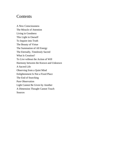# Contents

A New Consciousness The Miracle of Attention Living in Goodness This Light in Oneself To Inquire into Truth The Beauty of Virtue The Summation of All Energy The Eternally, Timelessly Sacred What Is Creation? To Live without the Action of Will Harmony between the Known and Unknown A Sacred Life Observing from a Quiet Mind Enlightenment Is Not a Fixed Place The End of Searching Pure Observation Light Cannot Be Given by Another A Dimension Thought Cannot Touch **Sources**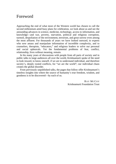#### Foreword

Approaching the end of what most of the Western world has chosen to call the second millennium amid busy plans for celebration, we look about us and see the astounding advances in science, medicine, technology, access to information, and knowledge—and war, poverty, starvation, political and religious corruption, turmoil, despoliation of the environment, terrorism, and great sorrow even among the most affluent. For thousands of years we have looked outward, to experts who now amass and manipulate information of incredible complexity, and to counselors, therapists, "educators," and religious leaders to solve our personal and social upheavals. Yet the fundamental problems of fear, conflict, relationship, lives without meaning, remain.

In his many years of discussions with people from all parts of society and in public talks to large audiences all over the world, Krishnamurti spoke of the need to look inward, to know oneself, if we are to understand individual, and therefore society's, deeply rooted conflicts, for "we are the world"; our individual chaos creates the global disorder.

From previously unpublished talks, the pages that follow offer Krishnamurti's timeless insights into where the source of humanity's true freedom, wisdom, and goodness is to be discovered—by each of us.

> RAY MCCOY Krishnamurti Foundation Trust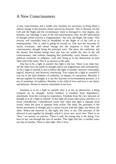#### A New Consciousness

A new consciousness and a totally new morality are necessary to bring about a radical change in the present culture and social structure. This is obvious, yet the Left and the Right and the revolutionary seem to disregard it. Any dogma, any formula, any ideology is part of the old consciousness; they are the fabrications of thought whose activity is fragmentation—the Left, the Right, the center. This activity will inevitably lead to bloodshed of the Right or of the Left or to totalitarianism. This is what is going on around us. One sees the necessity of social, economic, and moral change but the response is from the old consciousness, thought being the principal actor. The mess, the confusion, and the misery that human beings have got into are within the area of the old consciousness, and without changing that profoundly, every human activity political, economic or religious—will only bring us to the destruction of each other and of the earth. This is so obvious to the sane.

One has to be a light to oneself; this light is the law. There is no other law. All the other laws are made by thought and so are fragmentary and contradictory. To be a light to oneself is not to follow the light of another, however reasonable, logical, historical, and however convincing. You cannot be a light to yourself if you are in the dark shadows of authority, of dogma, of conclusion. Morality is not put together by thought; it is not the outcome of environmental pressure, it is not of yesterday, of tradition. Morality is the child of love and love is not desire and pleasure. Sexual or sensory enjoyment is not love.

Freedom is to be a light to oneself; then it is not an abstraction, a thing conjured up by thought. Actual freedom is freedom from dependency, attachment, from the craving for experience. Freedom from the very structure of thought is to be a light to oneself. In this light all action takes place and thus it is never contradictory. Contradiction exists only when that light is separate from action, when the actor is separate from action. The ideal, the principle, is the barren movement of thought and it cannot coexist with this light; one denies the other. Where the observer is, this light, this love, is not. The structure of the observer is put together by thought, which is never new, never free. There is no "how," no system, no practice. There is only the seeing that is the doing. You have to see, not through the eyes of another. This light, this law, is neither yours nor that of another. There is only light. This is love.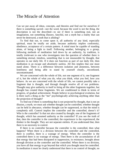#### The Miracle of Attention

Can we put away all ideas, concepts, and theories and find out for ourselves if there is something sacred—not the word, because the word is not the thing, the description is not the described—to see if there is something real, not an imagination, not something illusory, fanciful, not a myth but a reality that can never be destroyed, a truth that is abiding?

To find that out, to come upon it, all authority of any kind, especially spiritual, must be totally set aside, because authority implies conformity, obedience, acceptance of a certain pattern. A mind must be capable of standing alone, of being a light to itself. Following another, belonging to a group, following methods of meditation laid down by an authority, by tradition, is totally irrelevant to one who investigates into the question of whether there is something eternal, timeless, something that is not measurable by thought, that operates in our daily life. If it does not function as part of our daily life, then meditation is an escape and absolutely useless. All this implies that one must stand alone. There is a difference between isolation and aloneness, between loneliness and being able to stand by yourself clearly, unconfused, uncontaminated.

We are concerned with the whole of life, not one segment of it, one fragment of it, but the whole of what you do, what you think, what you feel, how you behave. As we are concerned with the whole of life, we cannot possibly take a fragment that is thought, and through thought resolve all of our problems. Thought may give authority to itself to bring all the other fragments together, but thought has created these fragments. We are conditioned to think in terms of progress, of gradual achievement. People believe in psychological evolution, but is there such a thing as the "me" psychologically achieving anything other than the projection of thought?

To find out if there is something that is not projected by thought, that is not an illusion, a myth, we must ask whether thought can be controlled, whether thought can be held in abeyance, whether thought can be suppressed, so that the mind is completely still. Control implies the controller and the controlled, doesn't it? Who is the controller? Is that not also created by thought, one of the fragments of thought, which has assumed authority as the controller? If you see the truth of that, then the controller is the controlled, the experiencer is the experienced, the thinker is the thought. They are not separate entities. If you understand that, then there is no necessity to control.

If there is no controller because the controller is the controlled, then what happens? When there is a division between the controller and the controlled, there is conflict, there is a wastage of energy. When the controller is the controlled there is no wastage of energy. Then there is the accumulation of all that energy that had been dissipated in suppression, in resistance, brought about through division as the controller and the controlled. When there is no division, you have all that energy to go beyond that which you thought must be controlled. In meditation it must be clearly understood that there is no control of thought, no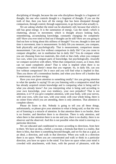disciplining of thought, because the one who disciplines thought is a fragment of thought, the one who controls thought is a fragment of thought. If you see the truth of that, then you have all the energy that has been dissipated through comparison, through control, through suppression, to go beyond what actually is.

We are asking whether the mind can be absolutely still, because that which is still has great energy. It is the summation of energy. Can the mind—which is chattering, always in movement; which is thought always looking back, remembering, accumulating knowledge, constantly changing—be completely still? Have you ever tried to find out if thought can be still? How are you going to find out how to bring about this stillness of thought? You see, thought is time and time is movement, time is measurement. In daily life you measure, you compare, both physically and psychologically. That is measurement, comparison means measurement. Can you live without comparison in daily life? Can you cease to compare altogether, not in meditation but in daily life? You do compare when you are choosing from two materials, this cloth or that cloth, when you compare two cars, when you compare parts of knowledge, but psychologically, *inwardly* we compare ourselves with others. When that comparison ceases, as it must, then can we stand completely alone? That is what is implied when there is no comparison—which doesn't mean that you vegetate. So, in daily life, can you live without comparison? Do it once and you will find what is implied in that. Then you throw off a tremendous burden; and when you throw off a burden that is unnecessary you have energy.

Have you ever given attention to something totally? Are you giving attention to what the speaker is saying? Or are you listening with a comparative mind that has already acquired certain knowledge and is comparing what is being said to what you already know? Are you interpreting what is being said according to your own knowledge, your own tendency, your own prejudice? That is not attention, is it? If you give complete attention, with your body, with your nerves, with your eyes, with your ears, with your mind, with your whole being, there is no center from which you are attending, there is only attention. That attention is complete silence.

Please do listen to this. Nobody is going to tell you all these things, unfortunately, so please give your attention to what is being said, so that the very act of listening is a miracle of attention. In that attention there is no border, there is no frontier, and therefore there is no direction. There is only attention, and when there is that attention there is no me and you, there is no duality, there is no observer and the observed. And this is not possible when the mind is moving in a particular direction.

We are educated and conditioned to move according to directions, from here to there. We have an idea, a belief, a concept, a formula that there is a reality, that there is bliss, that there is something beyond thought, and we fix that as a goal, as an ideal, a direction, and walk in that direction. When you walk in a direction there is no space. When you are concentrated and walk or think in a particular direction, you have no space in the mind. You have no space when your mind is crowded with attachments, with fears, with the pursuit of pleasures, with the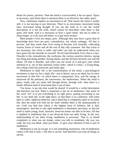desire for power, position. Then the mind is overcrowded, it has no space. Space is necessary, and where there is attention there is no direction, but rather space.

Now, meditation implies no movement at all. That means the mind is totally still, it is not moving in any direction. There is no movement, movement being time, movement being thought. If you see the truth of it—not the verbal description of it but the truth, which cannot be described—then there is that quiet, still mind. And it is necessary to have a quiet mind—but not in order to sleep longer, or to do your job better, or to get more money!

Most people's lives are empty, poor. Although they may have a great deal of knowledge their lives are poor, contradictory, not whole, unhappy. All that is poverty, and they waste their lives trying to become rich inwardly, cultivating various forms of virtue and all the rest of that silly nonsense. Not that virtue is not necessary; but virtue is order, and order can only be understood when you have gone into the disorder in yourself. We do lead disorderly lives; that is a fact. Disorder is the contradiction, the confusion, the various assertive desires, saying one thing and doing another, having ideals, and the division between you and the ideals. All that is disorder, and when you are aware of it and give your whole attention to it, out of that attention comes order, which is virtue—a living thing, not a thing contrived, practiced, and made ugly.

Meditation in daily life is the transformation of the mind, a psychological revolution so that we live a daily life—not in theory, not as an ideal, but in every movement of that life—in which there is compassion, love, and the energy to transcend all the pettiness, the narrowness, the shallowness. When the mind is quiet—really still, not *made* still through desire, through will—then there is a totally different kind of movement that is not of time.

You know, to go into that would be absurd. It would be a verbal description and therefore not real. What is important is the art of meditation. One sense of the word "art" is to put everything in its right place, putting everything in our life, *in our daily life*, in the right place, so that there is no confusion. And when there is order, righteous behavior, and a mind that is completely quiet in our daily life, then the mind will find out for itself whether there is the immeasurable or not. Until you find that which is the highest form of holiness, life is dull, meaningless. And that is why right meditation is absolutely necessary, so that the mind is made young, fresh, innocent. *Innocent* means not able to be hurt. All that is implied in meditation that is not divorced from our daily living. In the very understanding of our daily living, meditation is necessary. That is, to attend completely to what you are doing—when you talk to somebody, the way you walk, the way you think, what you think—to give your attention to that is part of meditation.

Meditation is not an escape. It is not something mysterious. Out of meditation comes a life that is holy, a life that is sacred. And therefore you treat all things as sacred.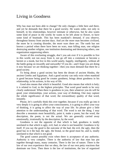### Living in Goodness

Why has man not been able to change? He only changes a little here and there, and yet he demands that there be a good society. He wants order, not only in himself, in his relationships, however intimate or otherwise, but he also wants some kind of peace in the world; he wants to be left alone to flower, to have some kind of beatitude. This has been mankind's demand, if you observe, throughout history from ancient days. And yet the more man becomes civilized, the more he is creating disorder, the more wars there are. The earth has not known a period when there have been no wars, man killing man, one religion destroying another religion, one institution dominating and destroying others, one organization suppressing others.

Aware of this everlasting struggle, don't you ask ever if it is possible to live in this world, not run away from it, not go off into a commune or become a hermit or a monk, but live in this world sanely, happily, intelligently, without all the battle going on inwardly and outwardly? If you do—and I hope you are doing it now because we are thinking together—then you must demand that there be a good society.

To bring about a good society has been the dream of ancient Hindus, the ancient Greeks and Egyptians. And a good society can only exist when mankind is good because being good he creates goodness, brings about goodness in his relationship, in his actions, in his way of life.

Good also means that which is beautiful. Good also means that which is holy; it is related to God, to the highest principles. That word *good* needs to be very clearly understood. When there is goodness in you, then whatever you do will be good, your relationships, your actions, your way of thinking. One may capture the whole significance of that word, the extraordinary quality of that word, instantly.

Please, let's carefully think this over together, because if you really go into it very deeply it is going to affect your consciousness, it is going to affect your way of thinking, it is going to affect the way of your life. So please give a little attention to the understanding of that word. The word is not the thing. I may describe a mountain most beautifully, paint it, make a poem, but the word, the description, the poem, is not the actual. We are generally carried away emotionally, irrationally by the description, by the word.

Goodness is not the opposite of that which is bad, goodness is totally unrelated to that which is ugly, evil, bad, to what is not beautiful. Goodness is by itself. If you say the good is the outcome of the bad, the evil, the ugly, then the good has in it the bad, the ugly, the brutal, so the good must be, and is, totally unrelated to that which is not good.

The good cannot possibly exist when there is acceptance of any authority. Authority is very complex. There is the authority of law that man has put together through many, many centuries. There is the law of nature. There is the law of our own experience that we obey, the law of our own petty reactions that dominate our lives. Then there is the law of institutions, the law of organized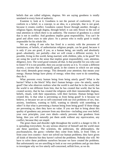beliefs that are called religions, dogmas. We are saying goodness is totally unrelated to every form of authority.

Examine it, look at it. Goodness is not the pursuit of conformity. If you conform to a belief, to a concept, to an idea, to a principle, that is not good, because it creates conflict. Goodness cannot flower through another, through a religious figure, through dogma, through belief; it can only flower in the soil of total attention in which there is no authority. The essence of goodness is a mind that is not in conflict. And goodness implies great responsibility. You can't be good and allow wars to take place. So a person who is really good is totally responsible for his whole life.

We are asking if one who has lived in a society with the pressures of institutions, of beliefs, of authoritarian religious people, can be good, because it is only if you are good, if you, as a human being, are totally and absolutely good—absolutely, not partially—that we will create a different society. Is it possible, living in this world, being married, with children, jobs, to be good? We are using the word in the sense that implies great responsibility, care, attention, diligence, love. The word *good* contains all that. Is that possible for you who care to listen? If it is not possible, then you accept society as it is. To create a different society, a society that is essentially good, in the context in which we are using that word, demands great energy. This demands your attention; that means your energy. Human beings have plenty of energy; when they *want* to do something, they do it.

What prevents every human being from being utterly good? What is the barrier? What is the block? Why don't human beings—you—be utterly, sanely good? One who observes realizes what the world is and that he is the world, that the world is not different from him, that he has created that world, that he has created society, that he has created the religions with their innumerable dogmas, beliefs, rituals, with their separations, with their factions. Human beings have created this. Is that what is preventing us from being good? Is it because we believe, or because we are so self-concerned with our own problems of sex, fear, anxiety, loneliness, wanting to fulfil, wanting to identify with something or other? Is that what is preventing a human being from being good? If those things are preventing us, then they have no value. If you see that to bring about this quality of goodness any pressure from any direction—including your own belief, your own principles, your own ideals—utterly prevents that goodness from being, then you will naturally put them aside without any equivocation, any conflict, because they are stupid.

The great chaos and disorder right throughout the world is a danger to life. It is spreading everywhere. So any serious observer of himself and the world must ask these questions. The scientists, the politicians, the philosophers, the psychoanalysts, the gurus—whether they come from India, or from Tibet, or from your own country—have not solved our human problems; they have given all kinds of theories but they haven't solved the problems. Nobody else will. *We* have to solve these problems ourselves because we have created the problems. But unfortunately we are unwilling to look at our own problems and go into them to investigate why we live utterly self-concerned, selfish lives, as we do.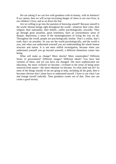We are asking if we can live with goodness with its beauty, with its holiness? If we cannot, then we will accept increasing danger of chaos in our own lives, in our children's lives, and so on down the line.

Are we willing to go into the question of knowing oneself? Because oneself is the world. Human beings right throughout the world—whatever their color, their religion, their nationality, their beliefs—suffer psychologically, inwardly. They go through great anxieties, great loneliness, have an extraordinary sense of despair, depression, a sense of the meaninglessness of living the way we do. Throughout the world, people are psychologically similar. That's a reality, that's truth, that's an actuality. So you are the world psychologically, and the world is you; and when you understand yourself you are understanding the whole human structure and nature. It is not mere selfish investigation, because when you understand yourself you go beyond yourself, a different dimension comes into being.

What will make us change? More shocks? More catastrophes? Different forms of government? Different images? Different ideals? You have had varieties of these, and yet you have not changed. The more sophisticated our education, the more civilized we become—civilized in the sense of being more removed from nature—the more inhuman we become. So what shall one do? As none of the things outside of me are going to help, including all the gods, then it becomes obvious that I alone have to understand myself. I have to see what I am and change myself radically. Then goodness comes out of that. Then one can create a good society.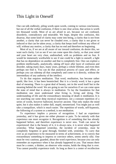#### This Light in Oneself

One can talk endlessly, piling words upon words, coming to various conclusions, but out of all the verbal confusion, if there is one clear action, that action is worth ten thousand words. Most of us are afraid to act, because we are confused, disorderly, contradictory and miserable. We hope, despite this confusion, this disarray, that some kind of clarity may come into being, a clarity that is not from another, a clarity that can never be clouded over, a clarity that is not given or induced or that can be taken away, a clarity that keeps itself without any effort of will, without any motive, a clarity that has no end and therefore no beginning.

Most of us, if we are at all aware of our inward confusion, do desire this, we want such clarity. Let us see if we can come upon this clarity, so that your mind and your heart are very clear, undisturbed, with no problems and no fear. It would be immensely worthwhile to see if one could be a light to oneself, a light that has no dependence on another and that is completely free. One can explore a problem intellectually, analytically, taking off layer after layer of confusion and disorder, taking many days, many years, perhaps a whole lifetime, and even then perhaps not find it. You can do that analytical process of cause and effect, or perhaps you can sidestep all that completely and come to it directly, without the intermediary of any authority of the intellect.

To do that requires meditation. That word, *meditation*, has become rather spoilt; like *love*, it has been besmirched. But it is a lovely word; it has a great deal of meaning. There is a great deal of beauty, not in the word itself but in the meaning behind the word. We are going to see for ourselves if we can come upon the state of mind that is always in meditation. To lay the foundation for that meditation one must understand what living is, living and dying. The understanding of life and the extraordinary meaning of death *is* meditation. It is not searching out some deep mystical experience, not a constant repetition of a series of words, however hallowed, however ancient. That only makes the mind quiet, but it also makes it rather dull, stupid, mesmerized. You might just as well take a tranquilizer, which is much easier. The repetition of words, self-hypnosis, the following of a system or a method, is not meditation.

To experience implies a process of recognition. I had an experience yesterday, and it has given me either pleasure or pain. To be entirely with that experience one must recognize it. Recognition is of something that has already happened before, and therefore experience is never new. Truth can never be experienced: that is the beauty of it, it is always new, it is never what happened yesterday. What happened yesterday, the incident of yesterday, must be completely forgotten or gone through, finished with, yesterday. To carry that over as an experience to be measured in terms of achievement, or to convey that extraordinary something to impress or convince others, seems utterly silly. One must be very cautious, guarded, about the word *experience*, because you can only remember an experience when it has already happened to you. That means there must be a center, a thinker, an observer who retains, holds the thing that is over. You cannot possibly experience truth. As long as there is a center of recollection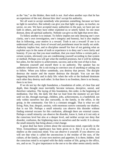as the "me," as the thinker, then truth is not. And when another says that he has an experience of the real, distrust him: don't accept his authority.

We all want to accept somebody who promises something, because we have no light in ourselves. But nobody can give you that light: no guru, no teacher, no savior, *no one*. We have accepted many authorities in the past, we have put our faith in others, and they have either exploited us or utterly failed. So one must distrust, deny all spiritual authority. Nobody can give us the light that never dies.

To follow another is to imitate. To follow implies not only denying one's own clarity, one's own investigation, one's integrity and honesty, but it also implies that in following, your motive is a reward. Truth is not a reward! If one is to understand truth, every form of reward and punishment must be totally set aside. Authority implies fear, and to discipline oneself for fear of not gaining what an exploiter says in the name of truth or experience is to deny one's own clarity and honesty. If you say that you *must* meditate, that you must follow a certain path, a certain system, obviously you are conditioning yourself according to that system or method. Perhaps you will get what the method promises, but it will be nothing but ashes, for the motive is achievement, success; and at the root of that is fear.

Between yourself and myself there is no authority. The speaker has no authority whatsoever. He is not trying to convince you of anything or asking you to follow. When you follow somebody, you destroy that person. The disciple destroys the master and the master destroys the disciple. You can see this happening historically and in daily life: when the wife or the husband dominate each other they destroy each other. In that there is no freedom, there is no beauty, there is no love.

If we do not lay the right foundation, a foundation of order, of clear line and depth, then thought must inevitably become tortuous, deceptive, unreal, and therefore valueless. The laying of this foundation, this order, is the beginning of meditation. Our life, the daily life that we lead from the moment we are born until we die, through marriage, children, jobs, achievements, is a battlefield, not only within ourselves but also outwardly, in the family, in the office, in the group, in the community. Our life is a constant struggle. That is what we call living. Pain, fear, despair, anxiety, with enormous sorrow constantly our shadow, that is our life. Perhaps a small minority can observe this disorder without finding external excuses for this confusion, although there are external causes. Perhaps a small minority can observe the disorder, know it, look at it not only at the conscious level but also at a deeper level, and neither accept nor deny that disorder, confusion, the frightening mess in ourselves and the world. It is always the small minority that bring about a vital change.

A great deal has been written about the unconscious mind, especially in the West. Extraordinary significance has been given to it. But it is as trivial, as shallow as the conscious mind. You can observe it yourself. If you observe you will see that what is called the unconscious is the residue of the race, of the culture, of the family, of your own motives and appetites. It is there, hidden. And the conscious mind is occupied with the daily routine of life, going to the office, sex, and so on. To give importance to the one or to the other seems utterly sterile.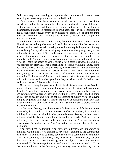Both have very little meaning, except that the conscious mind has to have technological knowledge in order to earn a livelihood.

This constant battle, both within, at the deeper level, as well as at the superficial level, is the way of our life. It is a way of disorder, a way of disarray, contradiction, misery, and for a mind caught in that to try to meditate is meaningless, infantile. To meditate is to bring about order in this confusion; and not through effort, because every effort distorts the mind. To see truth the mind must be absolutely clear, without any distortion, without any compulsion, without any direction.

So the foundation must be laid. That is, there must be virtue. Order is virtue. This virtue has nothing whatever to do with the social morality that we accept. Society has imposed a certain morality on us, but society is the product of every human being. Society with its morality says that you can be greedy; that you can kill another in the name of God, in the name of your country, in the name of an ideal; that you can be competitive, envious, within the law. Such morality is no morality at all. You must totally deny that morality within yourself in order to be virtuous. That is the beauty of virtue; virtue is not a habit, it is not something that you practice day after day. That is mechanical, a routine, without meaning, but to be virtuous means to know what disorder is, the disorder that is the contradiction within ourselves, the tyranny of various pleasures and desires and ambitions, greed, envy, fear. Those are the causes of disorder, within ourselves and outwardly. To be aware of that is to be in contact with disorder. And you can only be in contact with it when you don't deny it, when you don't find excuses for it, when you don't blame others for it.

Order isn't a thing that you establish—in the denial of disorder *there is* order. Virtue, which is order, comes out of knowing the whole nature and structure of disorder. This is fairly simple if we observe in ourselves how utterly disorderly and contradictory we are: we hate, and we think we love—that is the beginning of disorder, of duality; and virtue is not the outcome of duality. Virtue is a living thing, to be picked up daily; it is not the repetition of something that you called virtue yesterday. That is mechanical, worthless. So there must be order. And that is part of meditation.

Order means beauty; and there is so little beauty in our life. Beauty is not man-made; it is not in a picture, however modern or ancient; it is not in a building, in a statue, in a cloud, in a leaf, or on the water. Beauty is where there is order—a mind that is not confused, that is absolutely orderly. And there can be order only where there is total self-denial, when the "me" has no importance whatsoever. The ending of the "me" is part of meditation; that is the *only* meditation.

You have lived in thought. You have given tremendous importance to thinking, but thinking is old, thinking is never new, thinking is the continuation of memory. If you have lived there, obviously there is some kind of continuity. And it is a continuity that is dead, over, finished. It is something old, but only that which ends can have something new. So dying is very important to understand. To die to everything that one knows. Have you ever tried it? To be free from the known, to be free from your memory, even for a few days; to be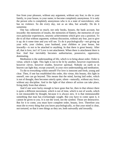free from your pleasure, without any argument, without any fear; to die to your family, to your house, to your name; to become completely anonymous. It is only the person who is completely anonymous who is in a state of nonviolence, who has no violence. So die every day, not as an idea, but actually. Do do it sometime.

One has collected so much, not only books, houses, the bank account, but inwardly: the memories of insults, the memories of flattery, the memories of your own particular experiences, neurotic achievements which give you a position. To die to all that without argument, without discussion, without any fear, just to give it up; do it some time and you will see. To do it psychologically—not giving up your wife, your clothes, your husband, your children or your house, but inwardly—is not to be attached to anything. In that there is great beauty. After all, that is love, isn't it? Love is not attachment. When there is attachment there is fear. And fear inevitably becomes authoritarian, possessive, oppressive, dominating.

Meditation is the understanding of life, which is to bring about order. Order is virtue, which is light. This light is not to be lit by another, however experienced, however clever, however erudite, however spiritual. Nobody on earth or in heaven can light that, except yourself, in your own understanding and meditation.

To die to everything within oneself! For love is innocent and fresh, young and clear. Then, if one has established this order, this virtue, this beauty, this light in oneself, one can go beyond. This means that the mind, having laid order, which is not of thought, then becomes utterly quiet, silent—naturally, without any force, without any discipline. And in the light of that silence all action can take place, living daily from that silence.

And if one were lucky enough to have gone that far, then in that silence there is quite a different movement, which is not of time, which is not of words, which is not measurable by thought, because it is always new. It is that immeasurable something that man has everlastingly sought. But you have to come upon it, it cannot be given to you. It is not the word, not the symbol. Those are destructive. But for it to come, you must have complete order, beauty, love. Therefore you must die to every thing that you know psychologically, so that your mind is clear, not tortured, so that it sees things as they are, both outwardly and inwardly.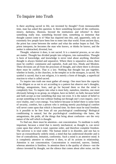#### To Inquire into Truth

Is there anything sacred in life, not invented by thought? From immeasurable time, man has asked this question. Is there something beyond all the confusion, misery, darkness, illusions, beyond the institutions and reforms? Is there something really true, something beyond time, something so immense that thought cannot come to it? Man has inquired into this, and, apparently, only an extremely few people have been free to enter into that world. From ancient days, the priest has come between the seeker and what the seeker hopes to find. The priest interprets; he becomes the man who knows, or thinks he knows, and the seeker is sidetracked, diverted, lost.

Thought, whatever it does, is not sacred. It is a material process, as we also are matter. Thought has divided people into religions, into nationalities. Thought is born of knowledge, and knowledge is never total about anything, therefore thought is always limited and separative. Where there is separative action, there must be conflict: communist and capitalist, Arab and Jew, Hindu and Moslem. These divisions are all from the processes of thought, and where there is division there must be conflict. That is a law. Nothing that thought has put together, whether in books, in the churches, in the temples or in the mosques, is sacred. No symbol is sacred; that is not religion, it is merely a form of thought, a superficial reaction to what is called sacred.

To inquire into truth one must gather all energy. One must have the capacity to be diligent so as not to act according to a pattern but observe one's thoughts, feelings, antagonisms, fears, and go far beyond them so that the mind is completely free. To inquire into what is most holy, nameless, timeless, one must obviously belong to no group, no religion, have no belief, no faith, because belief and faith accept as true something that may not exist. It is the nature of belief to accept something to be true without finding out through one's own inquiry, one's own vitality, one's own energy. You believe because in belief there is some form of security, comfort, but a person who is seeking merely psychological comfort will never come upon that which is beyond time. So there must be total freedom. Is it possible to be free from all our psychological conditioning? Biological conditioning is natural, but the psychological conditioning—the hates, the antagonisms, the pride, all the things that bring about confusion—are the very nature of the self which is thought.

To find out, there must be attention—not concentration. To meditate is really important, because a mind that is merely mechanical, as thought is, can never come upon that which is total, supreme order, and therefore complete freedom. The universe is in total order. The human mind is in disorder, and one has to have an extraordinarily orderly mind, a mind that has understood disorder and is free of contradiction, imitation, conformity. Such a mind is an attentive mind. It is completely attentive to whatever it does, to all its actions in relationship. Attention is not concentration. Concentration is restricted, narrow, limited, whereas attention is limitless. In attention there is the quality of silence—not the silence invented by thought, not the silence that comes about after noise, not the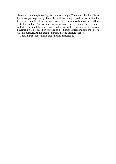silence of one thought waiting for another thought. There must be that silence that is not put together by desire, by will, by thought. And in that meditation there is no controller. In all the systems invented by groups there is always effort, control, discipline. But discipline means to learn—not to conform but to learn so that your mind becomes more and more subtle. Learning is a constant movement; it is not based on knowledge. Meditation is freedom from the known, which is measure. And in that meditation, there is absolute silence.

Then, in that silence alone, that which is nameless is.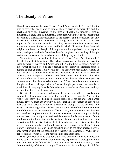#### The Beauty of Virtue

Thought is movement between "what is" and "what should be." Thought is the time to cover that space, and as long as there is division between this and that psychologically, the movement is the time of thought. So thought is time as movement. Is there time as movement, as thought, when there is only observation of "what is"? That is, not observation as the observer and the observed, but only observation without the movement of going beyond "what is." It is very important for the mind to understand this, because thought can create most marvelous images of what is sacred and holy, which all religions have done. All religions are based on thought. All religions are the organization of thought, in belief, in dogma, in rituals. So unless there is complete understanding of thought as time and movement, the mind cannot possibly go beyond itself.

We are trained, educated, drilled to change "what is" into "what should be," the ideal, and that takes time. That whole movement of thought to cover the space between "what is" and "what should be" is the time to change "what is" into "what should be"—but the observer is the observed, therefore there is nothing to change, there is only "what is." The observer doesn't know what to do with "what is," therefore he tries various methods to change "what is," controls "what is," tries to suppress "what is." But the observer is the observed: the "what is" is the observer. Anger, jealousy, are also the observer; there isn't jealousy separate from the observer—both are one. When there is no movement as thought in time to change "what is," when thought perceives that there is no possibility of changing "what is," then that which is—"what is"—ceases entirely, because the observer is the observed.

Go into this very deeply and you will see for yourself. It is really quite simple. If I dislike someone, the dislike is not different from the "me" or the "you." The entity that dislikes is dislike itself; it is not separate. And when thought says, "I must get over my dislike," then it is movement in time to get over that which actually is, which is created by thought. So the observer—the entity—and the thing called "dislike" are the same. Therefore there is complete immobility. It is not the immobility of being static, it is complete motionlessness and therefore complete silence. So time as movement, time as thought achieving a result, has come totally to an end, and therefore action is instantaneous. So the mind has laid the foundation and is free from disorder; and therefore there is the flowering and the beauty of virtue. In that foundation is the basis of relationship between you and another. In that relationship there is no activity of image; there is only relationship, not one image adjusting itself to the other image. There is only "what is" and not the changing of "what is." The changing of "what is," or transforming of "what is," is the movement of thought in time.

When you have come to that point, the mind and the brain cells also become totally still. The brain which holds memories, experience, knowledge, can and must function in the field of the known. But now that mind, that brain, is free from the activity of time and thought. Then the mind is completely still. All this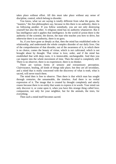takes place without effort. All this must take place without any sense of discipline, control, which belong to disorder.

You know, what we are saying is totally different from what the gurus, the "masters," the Zen philosophers say, because in this there is no authority, there is no following another. If you follow somebody, you are not only destroying yourself but also the other. A religious mind has no authority whatsoever. But it has intelligence and it applies that intelligence. In the world of action there is the authority of the scientist, the doctor, the man who teaches you how to drive, but otherwise there is no authority, there is no guru.

So, if you have gone as deeply as that, then the mind has established order in relationship, and understands the whole complex disorder of our daily lives. Out of the comprehension of that disorder, out of the awareness of it, in which there is no choice, comes the beauty of virtue, which is not cultivated, which is not brought about by thought. That virtue is love, order, and if the mind has established that with deep roots, it is immovable, unchangeable. And then you can inquire into the whole movement of time. Then the mind is completely still. There is no observer, there is no experiencer, there is no thinker.

There are various forms of sensory and extrasensory perception. Clairvoyance, healing, all kinds of things take place, but they are all secondary, and a mind that is really concerned with the discovery of what is truth, what is sacred, will never touch them.

The mind then is free to observe. Then there is that which man has sought through centuries, the unnameable, the timeless. And there is no verbal expression of it. The image that is created by thought completely and utterly ceases because there is no entity that wants to express it in words. Your mind can only discover it, or come upon it, when you have this strange thing called love, compassion, not only for your neighbor, but for the animals, the trees, for everything.

Then such a mind itself becomes sacred.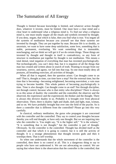# The Summation of All Energy

Thought is limited because knowledge is limited, and whatever action thought does, whatever it invents, must be limited. One must have a clear mind and a clear heart to understand what a religious mind is. To find out what a religious mind is, one must totally negate all the rituals and symbols invented by thought. If you deny, negate, that which is false, then you find what is true. You negate all the systems of meditation because you yourself see that these systems are invented by thought. They are put together by man. Because life is so shoddy, so uncertain, we want to have some deep satisfaction, some love, something that is stable, permanent, everlasting. We want something that is immutable, nonchanging, and we think we will get it if we do certain things. Those things are invented by thought and thought in itself is contradictory, so any form of structure in meditation put together by thought is not meditation. This means a total denial, total negation of everything that man has invented psychologically. Not technologically, you can't deny that, but it is negation of all the things that man has created and written about in search of truth. Wanting to escape from our weariness, sorrow, and agony, we fall into that trap. So one must totally deny all postures, all breathing exercises, all activities of thought.

When all that is negated, then the question arises: Can thought come to an end? That is, thought as time, can time have a stop? Not the external time, but the time that is becoming—becoming enlightened, becoming nonviolent, a vain man trying to become humble. This whole pattern of becoming psychologically is time. Time is also thought. Can thought come to an end? Not through discipline, not through control, because who is that entity who disciplines? There is always in us this sense of duality: the controller and the controlled, the observer and the observed, the experiencer and the experienced, the thinker and the thought. There is always this divisive duality in us. Probably it is brought over from physical observation. There, there is duality: light and shade, dark and light, man, woman, and so on. We have probably brought that over into the field of the psyche. So is there a controller that is different from the controlled? Please go into this very carefully.

In classical, ordinary meditation, the gurus who propagate it are concerned with the controller and the controlled. They say to control your thoughts because thereby you will end thought, or have only one thought. But we are inquiring into who the controller is. You might say, "It is the higher self," "It is the witness," "It is something that is not thought," but the controller *is* part of thought. Obviously. So the controller is the controlled. Thought has divided itself as the controller and that which it is going to control, but it is still the activity of thought. It is a strange phenomenon that thought invents gods and then it worships them. That is self worship.

So when one understands that the whole movement of the controller is the controlled, then there is no control at all. This is a dangerous thing to say to people who have not understood it. We are not advocating no control. We are saying that where there is the observation that the controller is the controlled, that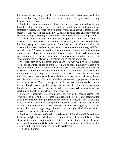the thinker is the thought, and if you remain with that whole truth, with that reality, without any further interference of thought, then you have a totally different kind of energy.

Meditation is the summation of all energy. Not the energy created by thought through friction, but the energy of a state of mind in which all conflict has completely ceased. The word *religion* probably means gathering together all your energy so that you can act diligently. A religious mind acts diligently, that is, caring, watching, observing. In that observation there is affection, compassion.

Concentration is another invention of thought. In school you are told to concentrate on the book. You learn to concentrate, trying to exclude other thoughts, trying to prevent yourself from looking out of the window. In concentration there is resistance, narrowing down the enormous energy of life to a certain point. Whereas in attention, which is a form of awareness in which there is no choice, a choiceless awareness, all your energy is there. When you have such attention there is no center from which you are attending, whereas in concentration there is always a center from which you are attending.

We ought also to talk together about space. The way we live in the modern world, one apartment on top of another, we have no space physically. There is no space outwardly, and inwardly we have no space at all because our brains are constantly chattering. Meditation is to understand or come upon the space that is not put together by thought, the space that is not space as the "me" and the "not me." That space is not invented space, the idea of space, but actual space; that is, vast distance, limitless distance, unhindered observation, perpetual movement without any barrier. That is vast space, and in that vast space there is no time, time as thought has stopped long ago, because of the observation that while thought has its own space, it has not that other vast space. When we want to learn a technique, thought as knowledge, time, needs space.

Memory is necessary at a certain level, but not at the psychological level. When there is always the awareness that cleanses the brain of any accumulation as memory, then the "me" progressing, the "me" achieving, the "me" in conflict, comes to an end because you have put your house in order. The brain has its own rhythm, but that rhythm has been distorted by our extravagance, by our illtreating the brain through drugs, through faith, through belief, through drink, smoking. It has lost its pristine vitality.

Meditation is the sense of total comprehension of the whole of life, and from that there is right action. Meditation is absolute silence of the mind. Not relative silence or the silence that thought has projected and structured, but the silence of order, which is freedom. Only in that total, complete, unadulterated silence is that which is truth, which is from everlasting to everlasting.

This is meditation.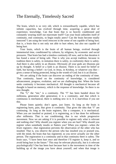# The Eternally, Timelessly Sacred

The brain, which is so very old, which is extraordinarily capable, which has infinite capacities, has evolved through time, acquiring a great deal of experience, knowledge. Can that brain that is so heavily conditioned and constantly wearing itself out rejuvenate itself? Can your brain unburden itself of continuity, end continuity, to begin totally anew? Can the brain become totally innocent? I am using the word *innocent* in the sense of not capable of being hurt; that is, a brain that is not only not able to hurt others, but also not capable of being hurt.

Your brain, which is the brain of all human beings, evolved through immemorial time, conditioned by cultures, by religions, by economic and social pressures. That brain has had a timeless continuity till now, and in that duration it has found a sense of being safe. That is why you accept tradition, because in tradition there is safety, in imitation there is safety, in conformity there is safety. And there is also safety in an illusion. Obviously all your gods are illusions put up by thought. A belief or a faith is an illusion. There is no need for belief or faith, but having a belief—in God, in Jesus, in Krishna, or whatever you like gives a sense of being protected, being in the womb of God; but it is an illusion.

We are asking if the brain can discover an ending of the continuity of time. That continuity, based on the continuity of knowledge, is considered advancement, progress, evolution, and we are challenging that. When the brain seeks continuity it becomes mechanical. All thought is mechanical because all thought is based on memory, which is the response of knowledge. So there is no new thought.

The "I," the "me," is a continuity. The "I" has been handed down for millennia, generation after generation; it is a continuity, and that which is continuous is mechanical, there is nothing new in it. It is marvelous if you see this.

Please listen quietly; don't agree, just listen. As long as the brain is registering hurts, pain, that gives it continuity. That gives the idea that "I" am continuing. As long as the brain registers, like a computer, it is mechanical. When you are insulted or praised, it is registering, as it has done for millennia after millennia. That is our conditioning, that is our whole progressive movement. Now we are asking if it is possible to register only what is relevant and nothing else? Why should you register when you are hurt? Why should you register when somebody insults or flatters you? When you register—when *the brain* registers—that registration prevents the observation of the other who has insulted. That is, you observe the person who has insulted you or praised you, with the mind, the brain that has registered, so you never actually *see* the other person. The registration is a continuity and in that continuity there is safety. The brain says, "I have been hurt once and therefore I'll register it, keep it, and so avoid being hurt in the future." This may be relevant physically, but is it relevant psychologically? One has been hurt because hurt is the movement in time of the building up of the image you have about yourself, and when that image is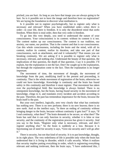pricked, you are hurt. As long as you have that image you are always going to be hurt. So is it possible not to have the image and therefore have no registration? We are laving the foundation to discover what meditation is.

Is it possible not to register psychologically, but to register only what is necessary and relevant? When you have established order—when *there is*  order—in your life, there is freedom. It is only the disordered mind that *seeks* freedom. When there is total order, then that very order *is* freedom.

To go into this very deeply, you need to understand the nature of your consciousness. Your consciousness is its content: without its content it is not. The content makes up our consciousness. The content is our tradition, our anxiety, our name, our position. That is the content and that is our consciousness. Can this whole consciousness, including the brain and the mind, with all its content, realize its content, realize its duration, and take one part of that consciousness, such as attachment, and end it voluntarily? That means you are breaking continuity. We are asking if it is possible to register only what is necessary, relevant, and nothing else. Understand the beauty of that question, the implications of that question, the depth of that question. I say it is possible. I'll explain, but the explanation is not the fact. Don't be caught up in the explanation, but through the explanation come to the fact. Then the explanation is no longer important.

The movement of time, the movement of thought, the movement of knowledge from the past, modifying itself in the present and proceeding, is continuity. That is the whole movement of registration of the brain, otherwise we could not have knowledge. Knowledge is continuity and the brain has found safety in this continuity and therefore it must register. That movement has taken over the psychological field. But knowledge is always limited. There is no omnipotent knowledge, but the brain, having found security in the movement of knowledge, clings to it, and translates every incident and accident according to the past. Therefore, the past has tremendous importance for the brain, because the brain itself is the past.

But your own intellect, logically, sees very clearly that what has continuity has nothing new. There is no new perfume; there is no new heaven; there is no new earth. And so the intellect says, "Is there an ending of continuity without bringing danger to the brain, because without continuity it gets lost?" It says, "If I end continuity, what then?" The brain demands to be secure, so what then? The brain has said that it can only function in security, whether it is false or true security, and the continuity of the registration process has given it security. And you say to the brain, "Register only what is necessary, relevant, and don't register anything else." So the brain is suddenly at a loss. Because it is functioning out of need for security it says, "Give me security and I will go after it."

There is security, but not that kind of security. It is to put knowledge, thought, in its right place. The very orderliness of life is possible only when the brain has understood that it is living in disorder, which it calls security. When it realizes that security implies putting everything in order, which is registering everything relevant and nothing irrelevant, then the brain says, "I have understood this, I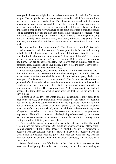have got it, I have an insight into this whole movement of continuity." It has an insight. That insight is the outcome of complete order, which is when the brain has put everything in its right place. Then there is total insight into the whole movement of consciousness. And therefore the brain will register only what is necessary and nothing else. In that is implied that the activity of the brain undergoes a change, the very structure of the brain undergoes a change, because seeing something new for the first time brings a new function to operate. When the brain sees something new, there is a new function, a new organism being born. It is wholly necessary for a mind, for a brain, to become very young, fresh, innocent, alive, youthful, and that is when there is no psychological registration at all.

Is love within this consciousness? Has love a continuity? We said consciousness is continuity, tradition. Is love part of this field or is it entirely outside the field? I am asking, I am challenging. I don't say it is or it is not. If it is within the field of our consciousness, isn't it still part of thought? The content of our consciousness is put together by thought. Beliefs, gods, superstitions, traditions, fear, are all part of thought. And is love part of thought, part of this consciousness? That means, is love desire, is love pleasure, sex? Is love part of the thought process? Is love a remembrance?

Love cannot possibly exist or come into being like the fresh morning dew if the intellect is supreme. And our civilization has worshipped the intellect because it has created theories about God, because it has created principles, ideals. So is love part of this stream, this consciousness? Can love exist when there is jealousy? Can love exist when there is attachment to a wife, to a husband, to children? Can love exist when there is the memory of sexual attraction, a remembrance, a picture? Has love a continuity? Please go into it and find out, because that thing does not exist in your heart and that is why the world is in such a mess.

To come upon this love, the whole stream of consciousness must come to an end: your jealousy, your antagonism, your ambition, your desire for position, your desire to become better, nobler, or your seeking power—whether it is the power to levitate or the power of business, position, politics, religion, or power over your wife, over your husband, over your children. Where there is any sense of egotism, the other is not. And the essence of egotism is the process of registration. The ending of sorrow is the beginning of compassion, but we have used sorrow as a means of advancement, becoming better. On the contrary, in the ending something infinitely new takes place.

There must be space, not physical space only, but space within the mind, which means not being occupied. Our minds are always occupied: "How shall I stop chattering?" "I must have space." "I must be silent." A housewife is occupied with her cooking, with her children; a devotee is occupied with his God; a man is occupied with his profession, with sex, with his job, with his ambition, with his position. The mind is wholly occupied, and so there is no space in it.

We establish order in our life that is not the order of discipline, control. We have seen intelligently that order can come only out of the understanding of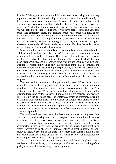disorder. We bring about order in our life, order in our relationship, which is very important, because life is relationship, a movement, an action in relationship. If there is no order in your relationship with your wife, with your husband, with your children, with your neighbor—whether that neighbor is near or very far away—forget about meditation. Without order in your life, if you try to meditate you will fall into the trap of illusions. If you have been serious, and you have order—not temporary order, but absolute order—that order can look to the cosmic order, that order has relationship with the cosmic order. Cosmic order is the setting of the sun, the rising of the moon, the marvelous sky of the evening with all its beauty. Merely examining the cosmos, the universe through a telescope, is not order. If there is order here, in our life, then that order has an extraordinary relationship with the universe.

When a mind is occupied, there is no order, there is no space. When the mind is full of problems, how can it have space? To have space, every problem must be immediately solved as it arises. That is part of meditation—not to carry problems over day after day. Is it possible not to be occupied, which does not mean irresponsibility? On the contrary, when you are not occupied you give your attention to responsibility. It is only the occupied mind that is confused and therefore responsibility becomes ugly, responsibility then has the possibility of guilt. Please don't ask how not to be occupied, for then you will be occupied with a system, a method, with slogans. But if you see, if you have an insight, that an occupied mind is a destructive mind, is not a free mind, that it has no space, it happens.

Then we can look at attention. Are you attending now? What does *to attend* mean? If you are really deeply attending, there is no center from which you are attending. And that attention cannot continue, as you would like it to. The continuity is inattention. When you are attending, which means listening, in that attention there is no center that says, "I am learning, I am hearing, I am seeing." There is only the enormous sense of wholeness, which *is* watching, listening, learning. In that attention there is no movement of thought. That attention cannot be sustained. When thought says it must find out how to arrive at or achieve attention, the movement of wanting to capture attention is inattention, is lack of attention. To be aware of the movement away from attention is to be attentive. Have you captured it?

The mind must have great space, limitless space, and that can only take place when there is no chattering, when there is no problem because all problems have been resolved as they arose. You can have great space only when there is no center. The moment you have a center, there must be circumference, there must be diameter, a movement from the center to the periphery. Space implies no center; therefore it is absolutely limitless. Attention implies giving all your energy to listen, to see, and in that there is no center. Then comes a mind that has understood order and is free of fear, that has ended sorrow, has understood the nature of pleasure and given it its right place.

Then the question is: What is the quality of a mind that is completely silent? Not how to achieve silence, how to have peace of mind—we are speaking of the quality of a mind that is absolutely, timelessly silent.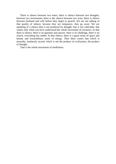There is silence between two notes; there is silence between two thoughts, between two movements; there is the silence between two wars; there is silence between husband and wife before they begin to quarrel. We are not talking of that quality of silence, because they are temporary, they go away. We are speaking of a silence that is not produced by thought, that is not cultivable, that comes only when you have understood the whole movement of existence. In that there is silence, there is no question and answer, there is no challenge, there is no search, everything has ended. In that silence, there is a great sense of space and beauty and extraordinary sense of energy. Then there comes that which is eternally, timelessly sacred, which is not the product of civilization, the product of thought.

That is the whole movement of meditation.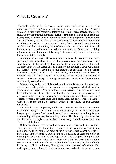#### What Is Creation?

What is the origin of all existence, from the minutest cell to the most complex brain? Was there a beginning at all, and is there an end to all this? What is creation? To probe into something totally unknown, not preconceived, and not be caught in any sentimental, romantic illusion, there must be a quality of brain that is completely free from all its conditioning, from all its programming, from every kind of influence, and therefore highly sensitive and tremendously active. Is that possible? Is it possible to have a mind, a brain, that is extraordinarily alive, not caught in any form of routine, not mechanical? Do we have a brain in which there is no fear, no self-interest, no self-centered activity? Otherwise it is living in its own shadow all the time, it is living in its own tribal, limited environment, like an animal tied to a stake.

A brain must have space. Space is not only a distance between here and there, space implies being without a center. If you have a center and you move away from the center to the periphery, however far the periphery is, it is still limited. So, space indicates no center and no periphery, no boundary. Have we a brain that doesn't belong to anything, is not attached to anything—to experience, conclusions, hopes, ideals—so that it is really, completely free? If you are burdened, you can't walk very far. If the brain is crude, vulgar, self-centered, it cannot have measureless space. And space indicates—one is using the word very, very carefully—emptiness.

We are trying to find out if it is possible to live in this world without any fear, without any conflict, with a tremendous sense of compassion, which demands a great deal of intelligence. You cannot have compassion without intelligence. And that intelligence is not the activity of thought. One cannot be compassionate if one is attached to a particular ideology, to a particular narrow tribalism, or to any religious concept, for those limit. And compassion can only come—be there when there is the ending of sorrow, which is the ending of self-centered movement.

So space indicates emptiness, nothingness. And because there is *not a thing* put there by thought, that space has tremendous energy. So the brain must have the quality of complete freedom and space. That is, one must be nothing. We are all something: analysts, psychotherapists, doctors. That is all right, but when we are therapists, biologists, technicians, those very identifications limit the wholeness of the brain.

Only when there is freedom and space can we ask what meditation is. Only when one has laid the foundation of order in life can one ask what true meditation is. There cannot be order if there is fear. There cannot be order if there is any kind of conflict. Our inward house must be in complete order, so there is great stability, with no waffling around. There is great strength in that stability. If the house is not in order, your meditation has very little meaning. You can invent any kind of illusion, any kind of enlightenment, any kind of daily discipline, it will still be limited, illusory, because it is born out of disorder. This is all logical, sane, rational; it is not something the speaker has invented for you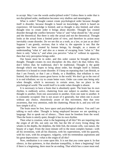to accept. May I use the words *undisciplined order*? Unless there is order that is not disciplined order, meditation becomes very shallow and meaningless.

What is order? Thought cannot create psychological order because thought itself is disorder, because thought is based on knowledge, which is based on experience. All knowledge is limited, and so thought is also limited, and when thought tries to create order it brings about disorder. Thought has created disorder through the conflict between "what is" and "what should be," the actual and the theoretical. But there is only the actual and not the theoretical. Thought looks at the actual from a limited point of view, and therefore its action must inevitably create disorder. Do we see this as a truth, as a law, or just as an idea? Suppose I am greedy, envious; that is what is; the opposite is not. But the opposite has been created by human beings, by thought, as a means of understanding "what is" and also as a means of escaping from "what is." But there is only "what is," and when you perceive "what is" without its opposite, then that very perception brings order.

Our house must be in order, and this order cannot be brought about by thought. Thought creates its own discipline: do this, don't do that; follow this, don't follow that; be traditional, don't be traditional. Thought is the guide through which one hopes to bring about order, but thought itself is limited, therefore it is bound to create disorder. If I keep on repeating that I am British, or that I am French, or that I am a Hindu, or a Buddhist, that tribalism is very limited, that tribalism causes great havoc in the world. We don't go to the root of it to end tribalism; we try to create better wars. Order can come into being only when thought, which is necessary in certain areas, has no place in the psychological world. The world itself is in order when thought is absent.

It is necessary to have a brain that is absolutely quiet. The brain has its own rhythm, is endlessly active, chattering from one subject to another, from one thought to another, from one association to another, from one state to another. It is constantly occupied. One is not aware of it generally, but when one is aware without any choice, choicelessly aware of this movement, then that very awareness, that very attention, ends the chattering. Please do it, and you will see how simple it all is.

The brain must be free, have space and psychological silence. You and I are talking to each other. Thought is being employed because we are speaking a language. But to speak out of silence... There must be freedom from the word. Then the brain is utterly quiet, though it has its own rhythm.

Then what is creation, what is the beginning of all this? We are inquiring into the origin of all life, not only our life, but the life of every living thing: the whales in the depths, the dolphins, the little fish, the minute cells, vast nature, the beauty of a tiger. From the most minute cell to the most complex human—with all his inventions, with all his illusions, with his superstitions, with his quarrels, with his wars, with his arrogance, vulgarity, with his tremendous aspirations and his great depressions—what is the origin of all this?

Now, meditation is to come upon this. It is not that *you* come upon it. In that silence, in that quietness, in that absolute tranquillity, is there a beginning? And if there is a beginning, there must be an ending. That which has a cause must end.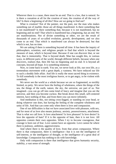Wherever there is a cause, there must be an end. That is a law, that is natural. So is there a causation at all for the creation of man, the creation of all the way of life? Is there a beginning of all this? How are we going to find out?

What is creation? Not of the painter, nor the poet, nor the man who makes something out of marble; those are all things manifested. Is there something that is not manifested? Is there something that, because it is not manifested, has no beginning and no end? That which is manifested has a beginning, has an end. We are manifestations. Not of divine something or other, we are the result of thousands of years of so-called evolution, growth, development, and we also come to an end. That which is manifested can always be destroyed, but that which is not, has no time.

We are asking if there is something beyond all time. It has been the inquiry of philosophers, scientists, and religious people to find that which is beyond the measure of man, which is beyond time. Because if one can discover that, or see that, that is immortality. That is beyond death. Man has sought this, in various ways, in different parts of the world, through different beliefs, because when one discovers, realizes that, then life has no beginning and no end. It is beyond all concepts, beyond all hope. It is something immense.

Now, to come back to earth. You see, we never look at life, our own life, as a tremendous movement with a great depth, a vastness. We have reduced our life to such a shoddy little affair. And life is really the most sacred thing in existence. To kill somebody is the most irreligious horror, or to get angry, to be violent with somebody.

We never see the world as a whole because we are so fragmented, so terribly limited, so petty. We never have the feeling of wholeness, where the things of the sea, the things of the earth, nature, the sky, the universe, are part of us. Not imagined—you can go off into some kind of fancy and imagine that you are the universe, and then you become cuckoo. But break down this small, self-centered interest, have nothing of that, and from there you can move infinitely.

And meditation is this, not sitting cross-legged, or standing on your head, or doing whatever one does, but having the feeling of the complete wholeness and unity of life. And that can come only when there is love and compassion.

One of our difficulties is that we have associated love with pleasure, with sex, and for most of us love also means jealousy, anxiety, possessiveness, attachment. That is what we call love. Is love attachment? Is love pleasure? Is love desire? Is love the opposite of hate? If it is the opposite of hate, then it is not love. All opposites contain their own opposites. When I try to *become* courageous, that courage is born out of fear. Love cannot have an opposite. Love cannot be where there is jealousy, ambition, aggressiveness.

And where there is the quality of love, from that arises compassion. Where there is that compassion, there is intelligence—but it is not the intelligence of self-interest, or the intelligence of thought, or the intelligence of a great deal of knowledge. Compassion has nothing to do with knowledge.

Only with compassion is there that intelligence that gives humanity security, stability, a vast sense of strength.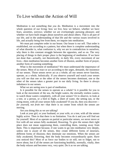#### To Live without the Action of Will

Meditation is not something that *you* do. Meditation is a movement into the whole question of our living: how we live, how we behave, whether we have fears, anxieties, sorrows; whether we are everlastingly pursuing pleasure; and whether we have built images about ourselves and about others. That is all part of our life, and in the understanding of that life and the various issues involved in life, and actually being free from them, we inquire into meditation.

We must put complete order in our house. Our house is our self. That order is established, not according to a pattern, but when there is complete understanding of what disorder is, what confusion is, why we are in contradiction in ourselves, why there is this constant struggle between the opposites, and so on. The very placing of things in their proper place is the beginning of meditation. If we have not done that—actually, not theoretically, in daily life, every movement of our lives—then meditation becomes another form of illusion, another form of prayer, another form of wanting something.

What is the movement of meditation? We must understand the importance of the senses. Most of us react or act according to the urges, demands, the insistence of our senses. Those senses never act as a whole; all our senses never function, operate, as a whole, holistically. If you observe yourself and watch your senses you will see that one or the other of the senses becomes dominant, one or the other of the senses takes a greater part in our daily living. So there is always imbalance in our senses.

What we are seeing now is part of meditation.

Is it possible for the senses to operate as a whole? Is it possible for you to look at the movement of the sea, the bright waters, the eternally restless waters, to watch those waters completely, with all your senses? Or to observe, to look at a tree, or a person, or a bird in flight, a sheet of water, the setting sun, or the rising moon, with all your senses fully awakened? If you do, then you discover *for yourself, not from me*—that there is no center from which the senses are moving.

Are you doing this as we are talking?

Look at your girl, or your husband, or your wife, or a tree, with all the senses highly active. Then in that there is no limitation. You do it and you will find out for yourself. Most of us operate on partial or particular senses, we never move or live with all our senses fully awakened, flowering. To give the senses their right place does not mean suppressing them, controlling them, running away from them. This is important because, if one wants to go into meditation very deeply, unless one is aware of the senses, they create different forms of neuroses, different forms of illusions; they dominate our emotions. When the senses are fully awakened, flowering, then the body becomes extraordinarily quiet. Have you noticed this? Most of us force our bodies to sit still, not to fidget, not to move about, but if all the senses are functioning healthily, normally, vitally, then the body relaxes and becomes very, very quiet. Do it as we are talking.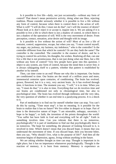Is it possible to live life—daily, not just occasionally—without any form of control? That doesn't mean permissive activity, doing what one likes, rejecting tradition. Please consider seriously whether it is possible to live a life without any form of control, because when there is control there is the action of will. What is will? "I will do this; I must not do that"; isn't will the essence of desire? Please look at it; don't reject it or accept it, inquire into it. We are asking if it is possible to live a life in which there is not a shadow of control, in which there is not a shadow of the operation of will. Will is the very movement of desire. From perception, contact, sensation, arise desire and thought with its image.

Is it possible to live without the action of will? Most of us live a life of restraint, control, suppression, escape, but when you say, "I must control myself, my anger, my jealousy, my laziness, my indolence," who is the controller? Is the controller different from that which he controls? Or are they both the same? The controller is the controlled. The controller is the essence of desire, and he is trying to control his activities, his thoughts, his wishes. Realizing all that, can one live a life that is not promiscuous, that is not just doing what one likes, but a life without any form of control? Very few people have gone into this question. I object to any system, any form of control, because the mind then is never free; it is always subjugating itself to a pattern, whether that pattern is established by another or by oneself.

Then, can time come to an end? Please see why this is important. Our brains are conditioned to time. Our brains are the result of a million years and more, immemorial centuries upon centuries, of conditioning. The brain has evolved, grown, flowered, but it is a very, very ancient brain. As it has evolved through time, it functions in time. The moment you say, "I will," it is in time. When you say, "I must do that," it is also in time. Everything that we do involves time and our brains are conditioned not only to chronological time, but also to psychological time. The brain has evolved through millennia and the very idea, the very question of whether it can end time is a paralyzing process. It is a shock to it.

Part of meditation is to find out for oneself whether time can stop. You can't do this by saying, "Time must stop"; it has no meaning. Is it possible for the brain to realize that it has no future? We live either in despair or in hope. Part of time is the destructive nature of hope: "I am miserable, unhappy, uncertain; I hope to be happy"; or faith, the invention of the priests throughout the world: "You suffer but have faith in God and everything will be all right." Faith in something involves time. Can you tolerate that there is no tomorrow, psychologically? It is part of meditation to find out that psychologically there is no tomorrow. The hope for something, the pleasure of looking forward to it, is involved in time. Which doesn't mean that you discard hope, it means that you understand the movement of time. If you discard hope, then you become bitter, then you say, "Why should I live, what is the purpose of life?" And then all the nonsense begins of depression, agony, living without anything in the future.

We are asking whether thought as time can stop. Thought is important in its right place, but it has no importance whatsoever psychologically. Thought is the reaction of memory, it is born from memory. Memory is experience as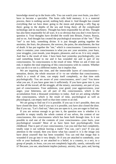knowledge stored up in the brain cells. You can watch your own brain, you don't have to become a specialist. The brain cells hold memory; it is a material process, there is nothing sacred, nothing holy about it. And thought has created everything that we have done: going to the moon and planting a silly flag up there; going to the depths of the sea and living there; all the complicated technology and its machinery. Thought has been responsible for all this. Thought has also been responsible for all wars. It is so obvious that you don't even have to question it. Your thoughts have divided the world into Britain, France, Russia, and so on. And thought has created the psychological structure of the "me." That "me" is not holy, something divine. It is just thought putting together the anxieties, the fears, the pleasures, the sorrows, the pains, the attachments, the fear of death. It has put together the "me," which is consciousness. Consciousness is what it contains; your consciousness is what you are: your anxieties, your fears, your struggles, your moods, your despairs, pleasures, and so on. It is very simple. And that is the result of time. I have been hurt yesterday psychologically; you said something brutal to me and it has wounded me and is part of my consciousness. So consciousness is the result of time. When we ask if time can end, it implies the total emptying of this consciousness with its content. Whether you can do it or not is a different matter, but it implies that.

We are inquiring into time, and the immovable layers of consciousness sensation, desire, the whole structure of it—to see whether that consciousness, which is a result of time, can empty itself completely, so that time ends psychologically. You are aware of your consciousness, aren't you? You know what you are, if you have gone into it sufficiently. If you have gone into it, you see that all the travail, all the struggle, all the misery, uncertainty, are part of you, part of consciousness. Your ambitions, your greed, your aggressiveness, your anger, your bitterness, are all part of this consciousness, which is the accumulation from a thousand yesterdays to today. And we are asking whether that consciousness, which is the result of time, psychological as well as physiological, can empty itself so that time comes to an end.

We are going to find out if it is possible. If you say it isn't possible, then you have closed the door. And if you say it is possible, you have also closed the door. But if you say, "Let's find out," then you are open to it, you are eager to find out.

If you are serious enough to go into it, the question now is whether it is possible to empty totally the whole content of our selves, the content of our consciousness, this consciousness which has been built through time. Is it not possible to end one of the contents of your consciousness—your hurts, your psychological wounds? Most of us have been hurt psychologically from childhood. That is part of your consciousness. Can you end that hurt completely, totally wipe it out without leaving a mark? You can, can't you? If you pay attention to the wound, then you know what has caused it: it is the image you have about yourself that has been wounded. You can end that image that is wounded if you go into it very deeply. Or if you are attached to somebody, your wife or your husband, or are attached to a belief, to a country, to a sect, to a group of people, to Jesus, can you not completely logically, sanely, rationally end it? Because, you see, attachment implies jealousy, anxiety, fear, pain; and, having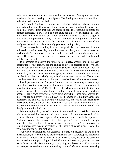pain, you become more and more and more attached. Seeing the nature of attachment is the flowering of intelligence. That intelligence sees how stupid it is to be attached, and it is finished.

So go into it. You have a particular psychological habit, say, always thinking in a certain direction. That is part of your consciousness. Can thought move away from that groove, from that rut? Of course it can. It is possible to empty the content completely. Now if you do it one thing at a time—your attachments, your hurts, your anxieties, and so on—it will take infinite time. So we are caught in time again. Is it possible to empty it instantly without involving time, as a whole, not in parts? When you do it part by part, you are still involved in time. If you really see the truth of it, then naturally you won't do it partially.

Consciousness is not mine; it is not my particular consciousness, it is the universal consciousness. My consciousness is like your consciousness, or anybody else's consciousness: we both suffer, we both go through agonies, and so on. There may be a few who have flowered, are out of it, and gone beyond, but that is irrelevant.

Is it possible to observe the thing in its entirety, wholly, and in the very observation of that totality, see the ending of it? Is it possible to observe your hurt or your anxiety or your guilt, totally? Suppose I feel guilty. Can I look at that guilt, see how it arose and what was the reason for it, see how I am dreading more of it, see the entire structure of guilt, and observe it wholly? Of course I can, but I can observe it wholly only when I am aware of the nature of being hurt. I can be aware of it if there is no direction or motive involved in that awareness.

I will go into it more. Suppose I am attached to something or somebody. Can't I observe the consequences of attachment, what is involved in attachment, how that attachment arose? Can't I observe the whole nature of it instantly? I am attached because I am lonely, I want comfort, I want to depend on somebody because I can't stand by myself, I need companionship, I need somebody to tell me, "You are doing very well, old boy." I need somebody to hold my hand; I am depressed and anxious. So I depend on somebody, and out of that dependence arises attachment, and from that attachment arise fear, jealousy, anxiety. Can't I observe the whole nature of it instantly? Of course I can if I am aware, if I am deeply interested to find out.

We are saying that, instead of doing it piecemeal, it is possible to see the whole nature and the structure and the movement of consciousness with all its content. The content makes up consciousness, and to see it entirely is possible. And when you see the entirety of it, it disintegrates. To have a complete insight into the whole nature of consciousness implies having no motive, no remembrance, just instant perception of the nature of consciousness. And that very insight dissolves the problem.

Our whole technological development is based on measure; if we had no measurement, there could be no technological advance. Knowledge is movement in measure: I know, I shall know. It is all measurement, and that measurement has moved into the psychological field. If you watch yourself, you can see very easily how it works. We are always comparing psychologically. Now can you end comparison—which is also the ending of time? *Measure* means measuring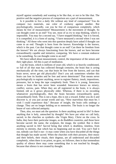myself against somebody and wanting to be like that, or not to be like that. The positive and the negative process of comparison are a part of measurement.

Is it possible to live a daily life without any kind of comparison? You do compare two materials, one color of corduroy against another. But psychologically, inwardly, can you be free of comparison completely, which means be free of measurement? Measurement is the movement of thought. So can thought come to an end? You see, most of us *try* to stop thinking, which is impossible. You may for a second say, "I have stopped thinking," but it is forced, it is compelled, it is a form of saying, "I have measured a second when I was not thinking." All those who went into this question deeply have asked if thought can come to an end. Thought is born from the known. Knowledge is the known, which is the past. Can that thought come to an end? Can there be freedom from the known? We are always functioning from the known, and we have become extraordinarily capable and imitative, comparing. We have a constant endeavor to be something. So can thought come to an end?

We have talked about measurement, control, the importance of the senses and their right place. All this is part of meditation.

Can the brain, which is millions of years old, which is so heavily conditioned, so full of all that man has collected through centuries, the brain that is acting mechanically all the time, can that brain be free from the known, and can that brain never, never get old physically? Don't you ask sometimes whether this brain can lose its burden and be free and never deteriorate? That means never psychologically to register anything, never to register flattery, insult, impositions, pressures, but to keep the tape completely fresh. Then it is young. Innocence means a brain that has never been wounded. Innocence knows no misery, conflict, sorrow, pain. When they are all registered in the brain, it is always limited, old as it grows physically older. Whereas, if there is no recording whatsoever psychologically, then the brain becomes extraordinarily quiet, extraordinarily fresh. This is not a hope, this is not a reward. Either you do it and discover it, or you just accept words and say, "How marvelous that must be; I wish I could experience that." Because of insight, the brain cells undergo a change. They are no longer holding on to memories. The brain is no longer the house of vast collected antiquity.

Then, also, we must ask the question: Is there anything sacred in life? Is there anything that is holy, untouched by thought? We have put what we call holy, sacred, in the churches as symbols—the Virgin Mary, Christ on the cross. In India, they have their particular images, as do Buddhist countries, and those have become sacred: the name, the sculpture, the image, the symbol. But *is* there anything sacred in life? *Sacred* being that which is deathless, timeless, from eternity to eternity, that which has no beginning and no end. You can't find it out, nobody can find it out—it may come when you have discarded all the things that thought has made sacred. When the churches with their pictures, their music and their beliefs, their rituals, their dogmas, are all understood and discarded completely, when there is no priest, no guru, no follower, then in that tremendous quality of silence there may come something that is not touched by thought, because that silence is not created by thought.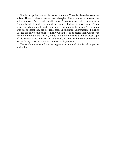One has to go into the whole nature of silence. There is silence between two noises. There is silence between two thoughts. There is silence between two notes in music. There is silence after noise. There is silence when thought says, "I must be silent," and creates artificial silence, thinking it is real silence. There is silence when you sit quietly and force your mind to be silent. All those are artificial silences; they are not real, deep, uncultivated, unpremeditated silence. Silence can only come psychologically when there is no registration whatsoever. Then the mind, the brain itself, is utterly without movement. In that great depth of silence that is not induced, not cultivated, not practiced, there may come that extraordinary sense of something immeasurable, nameless.

The whole movement from the beginning to the end of this talk is part of meditation.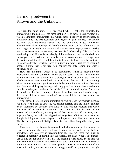## Harmony between the Known and the Unknown

How can the mind know if it has found what it calls the ultimate, the immeasurable, the nameless, the most sublime? As it cannot possibly *know* that which is limitless, unknowable, that which cannot possibly be experienced, all the mind can do is to free itself from all categories of pain, anxiety, fear, and the desire that ultimately creates illusion. The "me" with all its images is the center which divides all relationship and therefore brings about conflict. If the mind has not brought about right relationship with another, mere inquiry into or seeking reality has no meaning whatsoever, because life *is* relationship. Life is action in relationship, and if that is not deeply, fully understood and established, you cannot go very far. Without that, merely to seek becomes a form of escape from the reality of relationship. Until the mind is deeply established in behavior that is righteous, order that is virtue, search or inquiry into what is real has no meaning, because a mind that is not free from conflict can only escape into what it *considers* to be real.

How can the mind—which is so conditioned, which is shaped by the environment, by the culture in which we are born—find that which is not conditioned? How can a mind that is always in conflict within itself find that which has never been in conflict? So in inquiring, the search has no meaning. What has meaning and significance is whether the mind can be free, free from fear, free from all its petty little egotistic struggles, free from violence, and so on. Can the mind—your mind—be free of that? That is the real inquiry. And when the mind is really free, then only is it capable without any delusion of asking if there is, or if there is not, something that is absolutely true, that is timeless, immeasurable.

You know, it is really quite important to find this out for yourself, because you have to be a light to yourself, you cannot possibly take the light of another, or be illumined by another. You have to find out for yourself this whole movement of life with all its ugliness and beauty and the pleasures and the misery and the confusion, and step out of that stream. And if you have, and I hope you have, then what is religion? All organized religions are a matter of thought building a structure, a legend round a person or an idea or a conclusion. That is not religion at all. Religion is a life that is lived integrally, wholly, not fragmented.

Most minds are broken up, fragmented, and what is fragmented is corrupt. So what is the mind, the brain, that can function in the world in the field of knowledge, and also live in freedom from the known? These two must go together in harmony. Inquiring into this deeply, one asks: What is meditation? Let us find out for ourselves if it has any meaning whatsoever. To do that you must completely discard what everybody has said about meditation. Can you? Or are you caught in a net, a trap of other people's ideas about meditation? If you are caught in that, you are merely entertaining yourself, or trying to find the light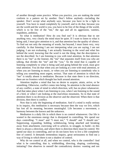of another through some practice. When you practice, you are making the mind conform to a pattern set by another. Don't follow anybody—including the speaker. Don't accept what anybody says, because you have to be a light to yourself. You have to stand completely by yourself, and to do that, because you are the world and the world is you, you have to be free of the things of the world, which is to be free of the "me," the ego and all its aggression, vanities, stupidities, ambition.

So what is meditation? How do you find out? It is obvious that to see anything very, very clearly the mind must be quiet. If I want to listen to what is being said, I must give attention to it, and that attention has the quality of silence. To find out not only the meaning of words, but beyond, I must listen very, very carefully. In that listening I am not interpreting what you are saying, I am not judging, I am not evaluating, I am actually listening to the word and what lies behind the word, knowing that the word is not the thing, that the description is not the described. So I am listening to you with total attention. In that attention there is no "me" as the listener, the "me" that separates itself from you who are talking, that divides the "me" and the "you." So the mind that is capable of listening completely to what is being said and going behind the word, must give total attention. You do that when you are looking at a tree with total attention, or when you are listening to music, or when you are listening to somebody who is telling you something most urgent, serious. That state of attention in which the "me" is totally absent is meditation. Because in that state there is no direction, there are no frontiers which thought has built around attention.

Attention implies a mind that has no desire to acquire, attain, arrive, or be something. Otherwise, conflict comes into being. So attention is the total absence of any conflict, a state of mind in which direction, will, has no place whatsoever. And that takes place when I am listening to you, when I am listening to the sound of a bird, or when I am looking at the marvelous mountains. So in that state of attention there is no division as the observer and the observed. When there *is* that division, then there is conflict.

Now that is only the beginning of meditation. And if a mind is really serious in its inquiry, this meditation is necessary because then the way we live, which has lost all its meaning, becomes meaningful. Life becomes a movement, a harmony between the known and the unknown.

Meditation is a daily life in which there is no control whatsoever. Our life is wasted in the enormous energy that is dissipated in controlling. We spend our days controlling: "I must" and "I must not," "I should" and "I should not." Suppressing, expanding, holding, withdrawing, being attached and breaking away from attachment, exercising will to achieve, to struggle, to build—in this there is always a direction, and where there is direction there must be control. We spend our days in controlling, and we do not know how to live a life completely free of control. It demands tremendous inquiry, great seriousness to find out a way of living in which there is not a shadow of control.

Why do we control at all, and when we control, who is the controller? And what is he controlling, that is, withholding, directing, shaping, conforming, imitating? One observes in oneself the contradictory desires: wanting and not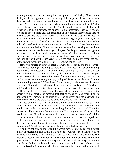wanting, doing this and not doing that, the oppositions of duality. Now is there duality at all, the opposite? I am not talking of the opposite of man and woman, dark and light; but inwardly, psychologically, are there opposites at all or only "what is"? The opposite exists only when I do not know what to do with "what" is." If I know what to do with "what is," if the mind is capable of dealing with "what is" and going beyond, the opposite is not necessary. That is, if you are violent, as most people are, the practicing of its opposite, nonviolence, has no meaning, because there is an interval of time, and during that interval you are being violent. What has meaning is to be concerned to go beyond violence, not to the opposite but to be free of it. I am always translating the new in terms of the old, and therefore I never meet the new with a fresh mind. I translate the new reaction, the new feeling I have, as violence, because I am looking at it with the ideas, conclusions, words, meanings of the past. So the past creates the opposite of "what is." But if the mind can observe "what is" without naming it, without categorizing it, putting it into a frame, or wasting energy to escape from it, if it can look at it without the observer, which is the past, look at it without the eyes of the past, then you are totally free of it. Do it and you will see.

Have you noticed in yourself there is always the observer and the observed? There is you looking at the thing, so there is a division between you and the thing you observe. You observe a tree, and the observer, the past, says, "That's an oak tree." When it says, "That is an oak tree," that knowledge is the past and that past is the observer. So the observer is different from the tree. Obviously, that must be so. But when we are dealing with psychological facts, is the observer different from the thing observed? When I say, "I am violent," is the observer, the see-er who says, "I am violent," different from that which it calls violent? Obviously not. So when it separates itself from the fact as the observer, it creates a duality, a conflict, and it tries to escape from that conflict through various means, so the observer is not capable of meeting that fact of violence. You work it out to understand this movement of division as the observer and the observed that creates conflict and therefore has no direct relationship with another.

In meditation, life is a total movement, not fragmented, not broken up as the "me" and the "you." In that there is no me to experience. Do you see that the mind is incapable of experiencing something that it does not know? The mind cannot possibly experience the immeasurable. You can give a significance to that word and say, "I will experience that state of the immeasurable," higher consciousness and all that business, but who is the experiencer? The experiencer is the past and he can only recognize the experience in terms of the past, therefore he must know it already. Therefore in meditation there is no experiencing. Ah, if you do this you will climb to the highest heaven.

You have not only to understand this whole movement of daily living, which is part of meditation, and in that have no control whatsoever so that there is no conflict, no direction, but you also have to have a life that is immensely energetic, active, real, creative. In meditation, the mind becomes completely quiet, silent. You know, silence has space—and the mind has no space. It is too crowded with the knowledge that we have acquired and it is eternally occupied with itself—what it must do, what it must not do, what it must achieve, what it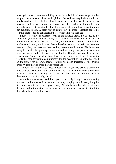must gain, what others are thinking about it. It is full of knowledge of other people, conclusions and ideas and opinions. So we have very little space in our minds. And one of the factors of violence is the lack of space. In ourselves we have very little space, and one must have space. It is part of meditation to come upon the space not invented by thought, because when you have space the mind can function totally. A brain that is completely in order—absolute order, not relative order—has no conflict and therefore it can move in space.

Silence is really an extreme form of the highest order. So silence is not something you contrive, that you try to practice, or try to become aware of. The moment you are aware that you are silent, it is not silence. Silence is the highest mathematical order, and in that silence the other parts of the brain that have not been occupied, that have not been active, become totally active. The brain, not being in conflict, has great space, not created by thought as space but an actual sense of space, and that space has no border. Thought has no place in this whatsoever. As we are describing this, we are employing thought, using the words that thought uses to communicate, but the description is not the described. So the mind with its brain becomes totally silent and therefore of the greatest order. Where there is order there is vast space.

And what lies in this vast space nobody can tell you because it is absolutely indescribable. Anybody—it doesn't matter who it is—who describes it or tries to achieve it through repeating words and all that kind of silly nonsense, is desecrating something holy, sacred.

And this is meditation. And this is part of our daily living; it isn't something you do at odd moments, it is there all the time, bringing order in everything that it is doing. And in this there is great beauty. Not the beauty that is in the hills and the trees and in the pictures in the museums, or in music, because it is the thing that *is* beauty and therefore love.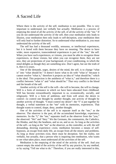### A Sacred Life

Where there is the activity of the self, meditation is not possible. This is very important to understand, not verbally but actually. Meditation is a process of emptying the mind of all the activity of the self, of all the activity of the "me." If you do not understand the activity of the self, then your meditation only leads to illusion, your meditation then only leads to self-deception, your meditation then will only lead to further distortion. So to understand what meditation is, you must understand the activity of the self.

The self has had a thousand worldly, sensuous, or intellectual experiences, but it is bored with them because they have no meaning. The desire to have wider, more expansive, transcendental experiences is part of the "me," the self. When you have such experiences, or visions, you must be able to recognize those experiences, or those visions, but when you can recognize them, they are not new, they are projections of your background, of your conditioning, in which the mind delights as though they are something new. Don't agree, but see the truth of it, then it is yours.

One of the demands, urges, desires of the mind, the self, is to change "what is" into "what should be." It doesn't know what to do with "what is" because it cannot resolve "what is," therefore it projects an idea of "what should be," which is the ideal. This projection is the antithesis of "what is," and therefore there is a conflict between "what is" and "what should be." That very conflict is the blood and the breath of the self.

Another activity of the self is the will—the will to become, the will to change. Will is a form of resistance in which we have been educated from childhood. Will has become extraordinarily important to us, economically, socially, and religiously. Will is a form of ambition, and from will arises the desire to control—to control one thought by another thought, one activity of thought by another activity of thought. "I must control my desire": the "I" is put together by thought, a verbal statement as the "me" with its memories, experiences. That thought wants to control, shape, deny, another thought.

One of the activities of the self is to separate itself as the "me," as the observer. The observer is the past, all the accumulated knowledge, experience, memories. So the "I," the "me," separates itself as the observer from the "you," the observed. "We" and "they." We the Germans, the communists, the Catholics, the Hindus, and they the heathens, and so on, and so on. As long as the activities of the self—as long as the "me" as the observer, as the controller, as will; the self demanding, desiring experience—exist, meditation becomes a means of selfhypnosis, an escape from daily life, an escape from all the misery and problems. As long as those activities exist, there must be deception. See the reality, not verbally, but actually, that a person who is inquiring into meditation, who wants to see what takes place, must understand all the activities of the self.

Meditation is the emptying of the mind of the activity of the self. And you cannot empty the mind of the activity of the self by any practice, by any method, or by saying "Tell me what to do." Therefore, if you are really interested in this,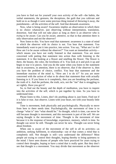you have to find out for yourself your own activity of the self—the habits, the verbal statements, the gestures, the deceptions, the guilt that you cultivate and hold on to as though it were some precious thing instead of throwing it away, the punishments—all the activities of the self. And that demands awareness.

Now, what is being aware? Awareness implies an observation in which there is no choice whatsoever, just observing without interpretation, translation, distortion. And that will not take place as long as there is an observer who is *trying* to be aware. Can you be aware, attentive, so that in that attention there is only observation and not the observer?

Now listen to this. You have read that statement: awareness is a state of mind in which the observer with its choice is not. You hear that statement. You immediately want to put it into practice, into action. You say, "What am I to do? How am I to be aware without the observer?" You want an immediate activity which means you have not really listened to that statement. You are more concerned with putting that statement into action than with listening to the statement. It is like looking at a flower and smelling the flower. The flower is there, the beauty, the color, the loveliness of it. You look at it and pick it up and begin to tear it to pieces. And you do the same when you listen to the statement that in awareness, in attention, there is no observer, that if the observer is, then you have the problem of choice, conflict. You hear that statement and the immediate reaction of the mind is, "How am I to do it?" So you are more concerned with the action of what to do about that statement than with actually listening to it. If you listen to it completely, then you are breathing the perfume, the truth of it. And the perfume, the truth, acts, not the "me" that is struggling to act rightly. Have you got it?

So, to find out the beauty and the depth of meditation, you have to inquire into the activities of the self, which is put together by time. So you have to understand time.

Please listen to this. Listen, don't do anything about it, just listen. Find out if it is false or true. Just observe. Listen with your heart, not with your beastly little mind.

Time is movement, both physically and psychologically. Physically to move from here to there needs time. Psychologically, the movement of time is to change "what is" into "what should be." So thought, which is time, can never be still because thought is movement, and this movement is part of the self. We are saying thought is the movement of time. Thought is the movement of time because it is the response of knowledge, experience, memory, which is time. So thought can never be still. Thought can never be new. Thought can never bring about freedom.

When one is aware of the movement of the self in all its activities—as ambition, seeking fulfilment, in relationship—out of that comes *a mind* that is completely still. Not thought is still—you understand the difference? Most people are trying to control their thoughts, hoping thereby to bring quietness to the mind. I have seen dozens of people who have practiced for years trying to control their thoughts, hoping to have a mind that is really quiet. But they don't see that thought is a movement. You may divide that movement as the observer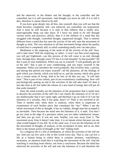and the observed, or the thinker and the thought, or the controller and the controlled, but it is still movement. And thought can never be still: if it is still it dies, therefore it cannot afford to be still.

If you have gone deeply into all this, into yourself, then you will see that the mind becomes completely still—not enforced, not controlled, not hypnotized. And it must be still because it is only in that stillness that a totally new, unrecognizable thing can take place. If I force my mind to be still through various tricks and practices, shocks, then it is the stillness of a mind that has struggled with thought, controlled thought, suppressed thought. That is entirely different from a mind that has seen the activity of the self, seen the movement of thought as time. The very attention to all that movement brings about the quality of mind that is completely still, in which something totally new can take place.

Meditation is the emptying of the mind of all the activity of the self. Now, will it take time? Will the emptying, or rather—I won't use that word *emptying*, you will get frightened—can this process of the self come to an end, through time, through days, through years? Or has it to end instantly? Is that possible? All this is part of your meditation. When you say to yourself, "I will gradually get rid of the self," that is part of your conditioning, and you enjoy yourself in the meantime. When you introduce the word *gradually*, that involves time, a period, and during that period you enjoy yourself—all the pleasures, all the feelings of guilt which you cherish, which you hold on to, and the anxiety which also gives you a certain sense of living. And to be free of all that you say, "It will take time." That is part of our culture, part of our evolutionary conditioning. Now will psychologically putting an end to the activities of the self take time? Or does it not take time at all, but rather the release of a new kind of energy that will put all that aside instantly?

Does the mind actually see the falseness of the proposition that it needs time to dissolve the activities of the self? Do I see clearly the falseness of it? Or do I see intellectually that it isn't quite right, and therefore I go on with it! If I see the falseness of it actually, then it has gone, hasn't it? Time is not involved at all. Time is needed only when there is analysis, when there is inspection or examination of each broken piece that constitutes the "me." When I see the whole movement of this as thought, it has no validity, though man has accepted it as inevitable. Then because the mind sees the falseness of it, it ends. You don't go too close to the edge of a precipice unless you are rather unbalanced, insane, and then you go over; if you are sane, healthy, you stay away from it. The movement away from it doesn't take time, it is an instant action because you see what would happen if you fell. So in the same way, if you see the falseness of all the movement of thought, of analysis, of the acceptance of time, and so on, then there is the instant action of thought as the "me" ending itself.

So a religious life is a life of meditation, in which the activities of the self are not. And one can live such a life in this world every day. That is, one can live a life as a human being in which there is constant alertness, watchfulness, awareness, an attentive mind that is watching the movement of the self. And the watching is watching from silence, not from a conclusion. Because the mind has observed the activities of the self and sees the falseness of it and therefore the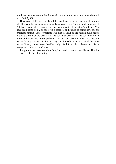mind has become extraordinarily sensitive, and silent. And from that silence it acts. *In daily life*.

Have you got it? Have we shared this together? Because it is your life, not my life. It is your life of sorrow, of tragedy, of confusion, guilt, reward, punishment. All that is your life. If you are serious you have tried to untangle all this. You have read some book, or followed a teacher, or listened to somebody, but the problems remain. These problems will exist as long as the human mind moves within the field of the activity of the self; that activity of the self *must* create more and more and more problems. When you observe, when you become extraordinarily aware of this activity of the self, then the mind becomes extraordinarily quiet, sane, healthy, holy. And from that silence our life in everyday activity is transformed.

Religion is the cessation of the "me," and action born of that silence. That life is a sacred life full of meaning.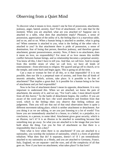## Observing from a Quiet Mind

To discover what it means to love, mustn't one be free of possession, attachment, jealousy, anger, hatred, anxiety, fear? Free of attachment—let's take that for the moment. When you are attached, what are you attached to? Suppose one is attached to a table, what does that attachment imply? Pleasure, a sense of possession, appreciation of the utility of it, the feeling that it is a marvelous table, and so on, and so on. When a human being is attached to another, what is going on? When someone is attached to you, what is the feeling of the other who is attached to you? In that attachment there is pride of possession, a sense of domination, fear of losing that person, therefore jealousy, and therefore greater attachment, greater possessiveness, anxiety. Now, if there is no attachment, does it mean no love, no responsibility? For most of us love means this terrible conflict between human beings, and so relationship becomes a perpetual anxiety. You know all this, I don't have to tell you. And that, we call love. And to escape from this terrible strain of what we call love, we have all kinds of entertainment—from television to religion. We quarrel and go off to church, or to the temple, and come back and begin again. This is going on all the time.

Can a man or woman be free of all this, or is that impossible? If it is not possible, then our life is a perpetual state of anxiety, and from that all kinds of neurotic attitudes, beliefs, actions, take place. Is it possible to be free of attachment? That implies a great deal. Is it possible for a human being to be free of attachment and yet feel responsible?

Now to be free of attachment doesn't mean its opposite, detachment. It is very important to understand this. When we are attached, we know the pain of attachment, the anxiety of it, and we say, "For God's sake, I must detach myself from all this horror." So the battle of detachment begins, the conflict. If you are aware of the word and the fact—the word *attachment* and freedom from that word, which is the feeling—then you observe that feeling without any judgement. Then you will see that out of that total observation there is quite a different movement taking place, which is neither attachment or detachment. Are you doing it as we are talking, or are you just listening to a lot of words? You know you are tremendously attached to a house, to a belief, to a prejudice, to a conclusion, to a person, to some ideal. Attachment gives great security, which is an illusion, isn't it? It is an illusion to be attached to something because that something may go away. So what you are attached to is the image that you have built about the thing. Can you be free of attachment so that there is a responsibility that is not a duty?

Then what is love when there is no attachment? If you are attached to a nationality, you worship the isolation of nationality, which is a form of glorified tribalism. What does that do? It separates, doesn't it? If I am tremendously attached to my nationality as a Hindu, and you are attached to Germany, France, Italy, England, we are separate—and the wars, and all the complexity of all that goes on. Now if you have no attachment, what takes place? Is that love?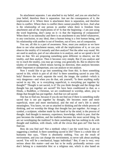So attachment separates. I am attached to my belief, and you are attached to your belief, therefore there is separation. Just see the consequences of it, the implications of it. Where there is attachment there is separation, and therefore there is conflict. Where there is conflict there cannot possibly be love. And what is the relationship of one person to another when there is freedom from attachment and all the implications of it? Is that the beginning—I am just using the word *beginning*, don't jump on it—is that the beginning of compassion? When there is no nationality and there is no attachment to any belief whatsoever, to any conclusion, to any ideal, then a human being is a free human being, and his relationship with another is out of freedom, out of love, out of compassion.

You see, all this is a part of awareness. Now, must you analyze as we have done to see what attachment means, with all the implications of it, or can you observe the totality of it instantly and *then* analyze? Not the other way round. We are used to analysis, part of our education is to analyze, and so we spend a lot of time on that. We are proposing something quite different: to observe, see the totality, and then analyze. Then it becomes very simple. But if you analyze and try to reach the totality, you may go wrong; you generally do. But to observe the totality of something, which means having no direction, then analysis becomes either important or unimportant, you can analyze or not analyze.

Now I would like to go into something else from this. Is there something sacred in life, which is part of all this? Is there something sacred in your life, holy? Remove the word, separate the word, the image, the symbol—which is very dangerous—and when you do that, ask yourself, "Is there anything really sacred in my life, or is everything superficial, is everything put together by thought?" Thought is not sacred, is it? Do you think thought and the things that thought has put together are sacred? We have been conditioned to that; as a Hindu, a Buddhist, a Christian, we are conditioned to worship, adore, pray to things that thought has put together. And that we call sacred.

One has to find out, because if you do not find out if there is something really sacred that is not put together by thought, life becomes more and more superficial, more and more mechanical, and the end of one's life is utterly meaningless. You know, we are so attached to thinking and the whole process of thinking, and we worship the things that thought has put together. An image, a symbol, a sculpture, whether made by the hand or by the mind, is the process of thought. And thought is memory, experience, knowledge, which is past. And the past becomes the tradition, and the tradition becomes the most sacred thing. So are we worshipping the tradition? Is there something that has nothing to do with thought and tradition, with rituals, with all the circus that goes on? One has to find out.

How do you find out? Not a method; when I use the word *how*, I am not suggesting a method. Is there something sacred in life? There is a whole bloc of humanity that says, "There is absolutely nothing. You are the result of environment, and you can change the environment, so never talk about anything sacred. You will be a mechanical, happy individual." But, if one is very, very serious about this matter—and one has to be really profoundly serious—you don't belong to a materialist bloc or a religious one, which is also based on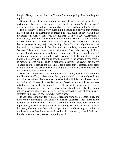thought. Then you have to find out. You don't assert anything. Then you begin to inquire.

Now what does it mean to inquire into oneself so as to find out if there is anything deeply sacred, holy, in one's life—in life, not in one's life—in living? Is there something marvelously, supremely, sacred? Or is there nothing at all?

It is necessary to have a very quiet mind, because it is only in that freedom that you can find out. There must be freedom to look, but if you say, "Well, I like my belief, I'll stick to that," you are not free. Or if you say, "Everything is materialistic," which is a movement of thought, then also you are not free. So to observe there must be freedom from the imposition of civilizations, personal desires, personal hopes, prejudices, longings, fears. You can only observe when the mind is completely still. Can the mind be completely without movement? Because if there is movement there is distortion. One finds it terribly difficult, because thought comes in immediately, so one says, "I must control thought." But the controller is the controlled. When you see that, that the thinker is the thought, the controller is the controlled, the observer is the observed, then there is no movement. One realizes anger is part of the observer who says, "I am angry," so anger and the observer are the same. That is clear, that is simple. In the same way, the thinker who wants to control thought is still thought. When one realizes that, the movement of thought stops.

When there is no movement of any kind in the mind, then naturally the mind is still, without effort, without compulsion, without will. It is naturally still; it is not cultivated stillness because that is mechanical, which is not stillness but just an illusion of stillness. So there is freedom. Freedom implies all that we have talked about, and in that freedom there is silence, which means no movement. Then you can observe—then *there is* observation, then there is only observation, not the observer observing. So there is only observation out of total silence, complete stillness of mind. Then what takes place?

If you have gone that far—which is freedom from one's conditioning, and therefore no movement, and complete silence, quietness—then there is the operation of intelligence, isn't there? To see the nature of attachment and all its implications, to have an insight into it, is intelligence. Only when you come to that point, which is to be free, with the operation of intelligence going with it, do you have a quiet, healthy, sane mind. And in that quietness you will find out if there is something really sacred, or nothing at all.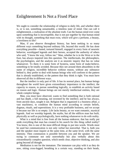### Enlightenment Is Not a Fixed Place

We ought to consider the relationship of religion to daily life, and whether there is, or is not, something unnameable, a timeless state of mind. One can call it enlightenment, a realization of the absolute truth. Can the human mind ever come upon something that is incorruptible, that is not put together by that human mind with its thought, something that must exist, which will give a perfume, a beauty, a loveliness to life?

Man, if you observe throughout history, has been seeking in so many different ways something beyond ordinary life, beyond this world. He has done everything possible—fasted, tortured himself, engaged in every form of neurotic behavior, worshipped legends and their heroes, accepted the authority of others who said, "I know the way, follow me." Man, whether he is in the West or in the East, has always inquired into this question. The intellectuals, the philosophers, the psychologists, and the analysts see it as neurotic inquiry that has no value whatsoever. To them it is some form of hysteria, some form of make-believe, something to be totally avoided. Because they see around them absurdities in the name of religion, incredible behavior without reason, without any substance behind it, they prefer to deal with human beings who will conform to the pattern that is already established, or the pattern that they think is right. You must have observed all this in different ways.

But the intellect is only part of life. It has its normal place, but human beings throughout the world have given extraordinary importance to the intellect, the capacity to reason, to pursue something logically, to establish an activity based on reason and logic. Human beings are not merely intellectual entities, they are whole complex beings.

Man, you must have observed, wants to find something that is both rational and has depth, a full meaning, not invented by the intellect; and he has always, from ancient days, sought it out. Religion that is organized is a business affair, a vast machinery, to condition the human mind according to certain beliefs, dogmas, rituals, and superstitions. It is a very profitable business, and we accept it because our life is so empty. Life lacks beauty, so we want romantic, mystical legends. And we worship legends, the myths, but all the edifices man has built, physically as well as psychologically, have nothing whatsoever to do with reality.

What is a mind that is free from all the human endeavor, that has really put aside everything that man has created in his search for this thing called reality? You know, this is one of the most difficult things to put into words. Words must be used but communication is not only verbal but nonverbal. That is, both you and the speaker must inquire at the same time, at the same level, with the same intensity. Then communion is possible between you and the speaker. We are trying to commune not only nonverbally but also verbally about this extraordinarily complex question, which needs clear, objective thinking, and also going beyond all thought.

Meditation is not for the immature. The immature can play with it as they do now, sitting cross-legged, breathing in a certain way, standing on their heads,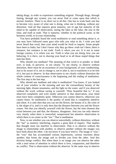taking drugs, in order to experience something original. Through drugs, through fasting, through any system, you can never find or come upon that which is eternal, timeless. There is no short cut to all this. One has to work hard; one has to become very aware of what one is doing, what one is thinking, without any distortion. And all that requires great maturity, not of age but maturity of the mind to be capable of observation, seeing the false as the false, the true in the false, and truth as truth. That is maturity, whether in the political scene, in the business world, or in your relationship.

You have probably heard the word *meditation* or read something about it, or you may have followed some guru who tells you what to do. I wish you had never heard that word, then your mind would be fresh to inquire. Some people have been to India, but I don't know why they go there: truth isn't there; there is romance, but romance is not truth. *Truth is where you are*. It is not in some foreign country, it is where you are. Truth is what you are doing, how you are behaving. It is *there*, not in shaving your head or in all those stupid things that man has done.

Why should you meditate? The meaning of that word is to ponder, to think over, to look, to perceive, to see clearly. To see clearly, to observe without distortion, there must be an awareness of your background, of your conditioning. Just to be aware of it, not to change it, not to alter it, not to transform it or be free of it, but just to observe. In that observation to see clearly without distortion the whole content of consciousness is the beginning and the ending of meditation. The first step is the last step.

Why should one meditate and what is meditation? You know, if you looked out of your window in the morning and saw the extraordinary beauty of the morning light, distant mountains, and the light on the water, and if you observed without the word, without saying to yourself, "How beautiful that is," if you observed completely and were totally attentive in that observation, your mind must have been completely quiet. Otherwise you cannot observe, otherwise you cannot listen. So meditation is the quality of mind that is completely attentive and silent. It is only then that you can see the flower, the beauty of it, the color of it, the shape of it, and it is only then that the distance between you and the flower ceases. Not that you identify yourself with the flower, but the time element that exists between you and that, the distance, disappears. And you can only observe very clearly when there is nonverbal, nonpersonal but attentive observation in which there is no center as the "me." That is meditation.

Now, to see whether you can observe nonverbally, without distortion, without the "me" as memory interfering, requires a great deal of inquiry. That implies that thought must not interfere in observation. That is to observe without the image in relationship with another, to observe another without the images you have built about the other. I do not know if you have tried it. The image is "you," the "you" that has accumulated various impressions, various reactions about another; that forms the image and so divides you from the other. And this division brings conflict. But when there is no image you can observe the other with a total sense of attention in which there is love, compassion, and therefore no conflict. That is observation without the observer. In the same way to observe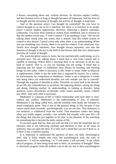a flower, everything about one, without division, for division implies conflict, and this division exists as long as thought becomes all important. And for most of us thought and the movement of thought, the activity of thought, is important.

And so the question arises: Can thought be controlled? Do you have to control thought so as not to let it interfere, but allow it to function in its proper place? Control implies suppression, direction, following a pattern, imitation, conformity. You have been trained to control from childhood, and in reaction to that the modern world says, "I won't control, I'll do anything I want." We are not talking about doing what one wants, that is absurd. And this whole system of control is also absurd. Control exists only when there is no understanding. When you see something very clearly, there is no need for control. If my mind sees very clearly how thought interferes, how thought always separates, sees that the function of thought is always in the field of the known, then that very observation prevents all control of thought.

The word *discipline* means to learn, but not mechanically conforming, as it is accepted now. We are talking about a mind that is free from control and is capable of learning. Where there is learning there is no necessity at all for any kind of control. That is, as you are learning you are acting. A mind that is inquiring into the nature of meditation must always be learning, and learning brings its own order. Order is necessary in life. Order is virtue. Order in behavior is righteousness. Order is not the order that is imposed by society, by a culture, by environment, by compulsion or obedience. Order is not a blueprint; it comes into being when you understand disorder, not only outside you but in yourself. Through the negation of disorder is order. Therefore we must look at the disorder of our life, the contradictions in ourselves, the opposing desires, saying one thing and doing, thinking another. In understanding, in looking at disorder, being attentive, aware choicelessly of disorder, order comes naturally, easily, without any effort. And such order is necessary.

Meditation is a process of life in which relationship with each other is clear, without any conflict. Meditation is the understanding of fear, of pleasure. Meditation is the thing called love, and the freedom from death, the freedom to stand completely alone. That is one of the greatest things in life, because if you cannot stand alone inwardly, psychologically, you are not free. That aloneness is not isolation, a withdrawal from the world. That aloneness comes into being when you totally negate, actually—not verbally but actually with your life—all the things that man has put together in his fear, in his pleasure, in his searching for something that is beyond the daily routine of life.

If you have gone that far, then you will see that it is only the mind that has no illusions, that is not following anybody and therefore is free of all sense of authority, that can open the door. It is only such a mind that can see if there is, or if there is not, a timeless quality.

It is important to understand the question of time, not daily chronological time, that is fairly simple and clear, but psychological time, the time of tomorrow—"I will be something," or "I will attain, I will succeed." Is the whole idea of progress, of time being from here to there, an invention of thought? There is obviously progress from the bullock cart to the jet, but is there psychological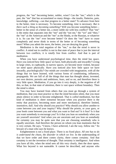progress, the "me" becoming better, nobler, wiser? Can the "me," which is the past, the "me" that has accumulated so many things—the insults, flatteries, pain, knowledge, suffering—can that progress to a better state? To advance from here to the better, time is necessary. To become something, time is necessary. *But is there such a thing as becoming something?* Will you *become* something better better in the sense of a better me, a more noble me with less conflict? That "me" is the entity that separates into the "me" and the "not me," the "we" and "they," the "me" as the American and the "me" as the Hindu, or the Russian, or whatever it is. So can the "me" ever become better? Or does the "me" have to cease completely and never think in terms of the better or of becoming something more? When you admit the more, the better, you are denying the good.

Meditation is the total negation of the "me," so that the mind is never in conflict. A mind not in conflict is not in that state of peace that is just the interval between two conflicts, it is *totally* free from conflict. And that is part of meditation.

When you have understood psychological time, then the mind has space. Have you noticed how little space we have, both physically and inwardly? Living in large cities, in cupboards, in narrow spaces, we become more violent, because we need space physically. Have you noticed also how little space we have inwardly, psychologically? Our minds are crowded with imagination, with all the things that we have learned, with various forms of conditioning, influences, propaganda. We are full of all the things that man has thought about, invented, our own desires, pursuits and ambitions, fears, and so on, and therefore there is very little space. Meditation, if you go into it very deeply, is the negation of all this, so that, in that state of attention, there is vast space without boundary. Then the mind is silent.

You may have learned from others that you must go through a system of meditation, that you must practice so that the mind becomes silent, that you must attain silence in order to become enlightened. That is *called* meditation, but that kind of meditation is sheer nonsense because when you practice there is the entity that practices, becoming more and more mechanical, therefore limited, insensitive, dull. And why should you practice? Why should you allow another to come between you and your inquiry? Why should the priests, or your guru, or your book come between you and what you want to find out? Is it fear? Is it that you want somebody to encourage you? Is it that you lean on somebody when you are yourself uncertain? And when you are uncertain and you lean on somebody for certainty you may be quite sure that you are choosing somebody who is equally uncertain. And therefore the person on whom you lean maintains that he is very certain. He says, "I know, I have achieved, I am the way, follow me." So beware of a man who says he knows.

Enlightenment is not a fixed place. There is no fixed place. *All one has to do is understand the chaos, the disorder in which we live*. In the understanding of that we have order and there comes clarity, there comes certainty. And that certainty is not the invention of thought. That certainty is intelligence. And when you have all this, when the mind sees all this very clearly, then the door opens. What lies beyond is not nameable. It cannot be described, and anyone who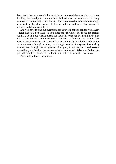describes it has never seen it. It cannot be put into words because the word is not the thing, the description is not the described. All that one can do is to be totally attentive in relationship, to see that attention is not possible when there is image, to understand the whole nature of pleasure and fear, and to see that pleasure is not love, and desire is not love.

And you have to find out everything for yourself; nobody can tell you. Every religion has said, don't kill. To you those are just words, but if you are serious you have to find out what it means for yourself. What has been said in the past may be true, but that truth is not yours. You have to find out, you have to learn what it means never to kill. Then it is your truth and it is a living truth. In the same way—not through another, not through practice of a system invented by another, not through the acceptance of a guru, a teacher, or a savior—you yourself in your freedom have to see what is truth, what is false, and find out for yourself completely how to live a life in which there is no strife whatsoever.

The whole of this is meditation.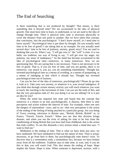### The End of Searching

Is there something that is not produced by thought? That means, is there something that is beyond time? We are accustomed to the idea of physical growth. One must have time to learn, to understand, so we are used to the idea of change through time. There is physical time; time is necessary physically to cover the distance from one point to another. But we have taken that concept, that conclusion, into the psychological: "I don't know myself, so I need time to know myself." Psychological time is put there by thought. Do you actually need time to be free of greed? I am taking that as an example. Do you actually need several days' time to be free of jealousy, anxiety, greed, envy? You are used to thinking that you do. When I say, "I *will* get over it," the "will" is time. It is our habit, our tradition, our way of living to say, "I *will* get over my anger, my jealousy, my sense of inadequacy." So the mind has become accustomed to the idea of psychological time—tomorrow, or many tomorrows. Now we are questioning that. We are saying that is not necessary. Time is not necessary to be free of greed. That is, if you are free of time, and you are greedy, there is no tomorrow; you attack it, you act, you do something immediately. Thought has invented psychological time as a means of avoiding, as a means of postponing, as a means of indulging in that which it already has. Thought has invented psychological time out of laziness.

Can you be free of the idea of tomorrow, psychologically? Please do go into it, look at it. Take your own anxiety, or whatever it is, your sexual indulgence. If you think that through certain sensory activity you will reach whatever you want to reach, the reaching is the movement of time. Can you see the truth of this, and that the very perception ends it? Are you doing it as we are talking? Or is it just an idea for you?

When the mind has inquired into time and found that the concept that tomorrow is a means to an end, psychologically, is illusory, then there is only perception and action without the interval of time. For example, when one sees the dangers of nationalism—wars, and so on—that very perception is the action of the ending of the feeling of being attached to a particular group. Are you doing it? Every evening, television in Britain says, "British, British, British" or, in France, "French, French, French." When you see that this division brings disaster, and when you see the error of asking for time to be free from the conditioning of being British that you have had from childhood, that is the action that ends conflict. To see this demands a very serious mind, a mind that says, "I want to find out."

Meditation is the ending of time. That is what we have done just now; we have meditated. We have meditated to find out the nature of time. Time is actual, necessary, to go from here to there, but psychologically time doesn't exist. To discover that is a tremendous truth, a tremendous fact, because we have broken away from all the traditions. Tradition says to take time, to wait, and, if you do this or that, you will reach God. This also means the ending of hope. Hope implies the future. Hope is time. When someone is depressed, anxious, with a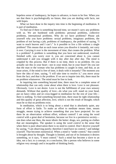hopeless sense of inadequacy, he hopes to advance, to learn to be free. When you see that there is psychologically no future, then you are dealing with facts, not with hopes.

What we have done in the inquiry into time is the beginning of meditation. It is part of meditation.

To find out if there is something beyond time, we mustn't carry any problems with us. We are burdened with problems: personal problems, collective problems, international problems. Why do we have problems? Please ask yourself why you have problems: sexual problems, imaginary problems, the problem of not having a job, problems of inadequacy, the problem of saying, "I want to reach heaven and I can't." Is it possible to live a life without a single problem? This means that as each issue arises you dissolve it instantly, not carry it over. Carrying it over is the movement of time; that creates the problem. What is a problem? A problem is something that you have not understood, resolved, finished with; you worry over it, you are concerned about it, you cannot understand it and you struggle with it day after day after day. The mind is crippled by this process. But if there is no time, there is no problem. Do you actually see this in your heart—not in your mind, but in your heart? Do you see that the man or the woman who has problems is caught in time, and that, as an issue arises, if the mind is free of time, it deals with it instantly? The moment you have the idea of time, saying, "I will take time to resolve it," you move away from the fact; *and that is the problem*. If we are to inquire into this, there must be no problem whatsoever. The mind must be free to look.

In inquiring into something beyond time, there must be a complete sense of relationship that can only come about when there is love. Love is not pleasure. Obviously. Love is not desire. Love is not the fulfillment of your own sensory demands. Without that quality of love—do what you will: stand on your head, put on fancy robes and sit cross-legged in meditation for the rest of your life there is nothing. To find something beyond time, there must be right relationship and this quality of great affection, love, which is not the result of thought; which must be so that no problems exist.

In meditation, which is to bring about a mind that is absolutely quiet, any form of effort is futile. To make an effort to meditate means time, means struggle, means trying to achieve something that you have projected. So can there be an observation without effort, without control? I am using the word *control* with a great deal of hesitation, because we live in a permissive society one does what one likes, the more idiotic the better: drugs, sex, putting on clothes that are meaningless. The speaker is using the word *control* in the sense that when there is pure observation there is no need to control. Don't deceive yourself by saying, "I am observing purely; therefore I need have no control," and indulge yourself. That becomes nonsensical. When a mind is "under control," that control is brought about by thought. Thought is limited, and out of its limitation it desires something, so it says, "I must control." Such a mind has become a slave to an idea, not a fact; to a concept, to a conclusion, like a person who believes in some religion very strongly and is incapable of thinking freely.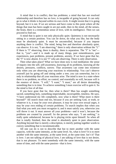A mind that is in conflict, that has problems; a mind that has not resolved relationship and therefore has no love, is incapable of going beyond. It can only go to what it *thinks* is beyond within its own circle. It might invent that it is going beyond, but it is not. If we are serious and have come to this point where all the things that man has been caught in are put aside, then in the mind, all the senses, the brain, there is a tremendous sense of love, with its intelligence. Then we can proceed to find out.

A mind that is quiet is not only physically quiet. Quietness is not necessarily sitting in a certain position. You can lie down, do what you like, but the body must be absolutely quiet. It must be uncontrolled, because if you impose anything there is conflict. The mind, being free and therefore absolutely quiet, can observe. It is not, "I am observing," there is only observation without the "I." If there is "I" observing, there is duality, there is separation. The "I" is "me" that is, "you"—and it is made up of many things, past remembrances, past experiences, past problems, present problems, anxiety. If we have gone that far, the "I" is now absent. It is not "I" who am observing. There is only observation.

Then what takes place? What we have done now is real meditation: the sense of inquiry into the self, self-awareness, knowing all its problems, knowing all the desires, pressures, conflicts, sorrow. That awareness can come into existence only when you are observing your reactions in relationship. You can't observe yourself just by going off and sitting under a tree; you can somewhat, but it is only in relationship that all your reactions arise. The mind is now in a state where there is no problem, no effort, no control, and essentially no will, because will is the essence of desire. "I will," "I want," "I must," are all desire demanding something that is in time. To achieve something I must exercise will to gain it. So the mind is free of all that.

If you have gone that far, then what is there? Man has sought something sacred, something holy, something imperishable, incorruptible, timeless. He says, "I have understood my life completely, now what is there? What more is there beyond?" All search must end too, because if you are seeking God, or truth, or whatever it is, it may be your own pleasure, it may be your own sexual urges, it may be your own ending of certain problems. To search implies that when you find what you seek you must recognize it; and it must satisfy you, otherwise you will throw it out. It must answer all your problems—and it won't, because the problems are created by yourself. So the person who says, "I am seeking," is really quite unbalanced, because he is playing tricks upon himself. So when all that is totally finished, then the mind is absolutely quiet in pure observation. Anything beyond that is merely a description, is merely putting together words to convey something that is incommunicable.

All one can do is not to describe that but to meet another with the same capacity, with the same intensity, at the same level. So, what is love? It is to meet another with the same intensity, at the same level, at the same time. Isn't it? That is love. I am not talking of physical love, I am talking of love that is not desire, that is not pleasure. To meet somebody with the same intensity, with the same sense of time, and with the same passion—that is love.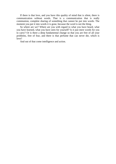If there is that love, and you have this quality of mind that is silent, there is communication without words. That is a communication that is really communion, complete sharing of something that cannot be put into words. The moment you put it into words it is gone, because the word is not the thing.

So where are we? Where are you with regard to what you have heard, what you have learned, what you have seen for yourself? Is it just mere words for you to carry? Or is there a deep fundamental change so that you are free of all your problems, free of fear, and there is that perfume that can never die, which is love?

And out of that come intelligence and action.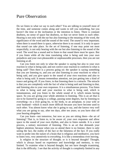#### Pure Observation

Do we listen to what we say to each other? You are talking to yourself most of the time, and someone comes along and wants to tell you something, but you haven't the time or the inclination or the intention to listen. There is constant deafness, no sense of space but deafness, so that we never listen to each other. Hearing is not only with the ear but also listening to the meaning of the word, the significance of the word and the sound of the word. The *sound* is very important; when there is sound there is space, otherwise there is no sound. It is only in space that sound can take place. So the art of listening, if one may point out most respectfully, is not only hearing with the ear but also listening to the sound of the word. The word has a sound and to listen to that sound there must be space. But if you listen while all the time translating what is being said into your own prejudices and your own pleasurable or unpleasurable processes, then you are not listening at all.

Can you listen not only to what the speaker is saying but also to your own reaction to what is being said, and not correct your reaction to conform to what is being said? Then there is a process going on: the speaker is saying something that you are listening to, and you are also listening to your reactions to what is being said, and you give space to the sound of your own reactions and also to what is being said. It means tremendous attention, not just getting into a kind of trance and going off. If you *listen*, in that listening there is a miracle. The miracle is that you are completely with the fact of what is being said and listening to that, and listening also to your own responses. It is a simultaneous process. You listen to what is being said and your reaction to what is being said, which is instantaneous, and you listen to the whole sound of it, which means having space. So you are giving your whole attention to listening. This is an art that is not to be learned by going to a college, passing some degrees, but by listening to everything—to a river going by, to the birds, to an aeroplane, to your wife or your husband—which is much more difficult because you have become used to each other. You almost know what she is going to say, and she knows very well what you are going to say, after ten days, after ten years; so you have shut off your hearing altogether.

Can you learn—not tomorrow, but now as you are sitting there—the art of listening? That is, to listen to, to be aware of, your own responses and allow space to the sound of your own rhythm, and also to listen outside. It is a total process, a unitary movement of listening. This is an art that demands your highest attention; because when you so attend there is no listener, there is only seeing the fact, the reality of the fact or the falseness of the fact. If you really want to probe into the nature of a brain that is religious and meditative, you have to listen very, very attentively to *everything*. It is like a tremendous river moving.

Is religion in the structure of thought; or is it beyond thought? Thought, which is always based on experience and knowledge and memory, is very limited. To examine what is beyond thought, but not have thought examining, that is the difficulty. I see that the activity of thought is completely limited in any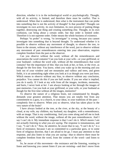direction, whether it is in the technological world or psychologically. Thought, with all its activity, is limited, and therefore there must be conflict. That is understood. When that is understood, then what is the instrument that can probe into something that is not the activity of thought? Is that possible? Thought can investigate its own activity, its own limitation, its own process of putting things together, destroying one thing and creating something else. Thought, in its own confusion, can bring about a certain order, but that order is limited order. Therefore it is not supreme order. Order means the whole business of existence.

Perhaps "to probe" is wrong, "to investigate" is wrong, because you cannot investigate into something that is beyond thought. To understand whether it is possible to observe without any movement of thought, to observe the tree, to listen to the stream, without any interference of the word, just to observe without any movement of past remembrances entering into your observation, requires complete freedom from the past as the observer.

Can you observe without the word, without all the remembrances and associations the word contains? Can you look at your wife—or your girlfriend, or your husband—without the word *wife*, without all the remembrances that word contains? See the importance of this: that you look at her, or him, or the river, as though for the first time. You know, when you wake up in the morning and you look out of your window and see mountains and valleys and trees, and green fields, it is an astonishing sight when you look at it as though you were just born. Which means to observe without any bias, to observe without any conclusion, prejudice. You cannot do this if you are half awake. If you see what is implied, you do it easily. If I look at my wife from all the images, incidents, memories, and hurts, I never look at *her*. I am always looking at her through the images of past memories. Can you look at your girlfriend, or your wife, or your husband as though for the first time without all the images, memories?

To observe the nature of a religious brain, not contaminated by thought, demands your greatest attention. That means you are totally free from any commitment to a guru, to a church, to your ideas, to your traditions of the past completely free to observe. When you so observe, what has taken place in the very nature of the brain?

I have always looked at the tree, at the river, at the sky, at the beauty of a cloud, at my wife, my children, my husband, my daughter, with a remembrance, with an image. That is my conditioning. And you come along and tell me to look without the word, without the image, without all the past remembrances. And I say I can't do it. My immediate response is that I can't do it. *Which means I am not actually listening to what you are saying*. The response is instantaneous, and I say, "I can't do it." Now, be attentive, be aware that to say, "I can't do it," is a form of resistance, because I am so committed to a particular guru, or to some form of religious doctrine, that I am afraid to let go. I must pay attention to that response, and also listen to what you are saying—that to observe there must be complete freedom from the word, from the content of the word—and listen to both.

So, be aware of this movement—the resistance and the listening, wanting to listen and knowing you cannot listen if you are resisting—and don't move from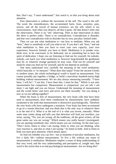that. Don't say, "I must understand." Just watch it, so that you bring about total attention.

Pure observation is without the movement of the self. The word is the self. The word, the remembrances, the accumulated hurts, fears, anxieties, pain, sorrow, and all the travail of human existence, are the self, which is my consciousness. And when you observe, all that is gone. All that doesn't enter into the observation. There is no "me" observing. Then in that observation in daily life there is perfect order. There is no contradiction. Contradiction is disorder, and that very contradiction with its disorder has its own, peculiar, limited order.

Then we can ask what meditation is—not how to meditate. When you ask "how," there is somebody to tell you what to do. If you don't ask "how," and ask what meditation is, then you have to exert your own capacity, your own experience, however limited; you have to think. Meditation is to ponder over, think over, to be concerned, to be dedicated, not *to* something but to have the spirit of dedication. I hope you are listening to find out for yourself, for nobody, *nobody*, can teach you what meditation is, however long-bearded the gentleman may be, or whatever strange garments he may wear. Find out for yourself and stand by what you find out for yourself, and do not depend on anybody.

One must understand very carefully the meaning of the word *meditation*, which basically is "to measure." What does that imply? From the ancient Greeks to modern times, the whole technological world is based on measurement. You cannot possibly put together a bridge, or build a marvelous hundred-storey-high building without measurement. We are also always measuring inwardly: "I have been, I will be"; "I am this, I have been this, I must be that." Which is not only measurement but comparison. Measurement is comparison: you are tall, I am short; I am light and you are brown. Understand the meaning of measurement and the words *better* and *more* and never use them inwardly. Are you doing it now as we are talking together?

When the brain is free of measurement, the very brain cells that have been used to measurement, have been conditioned by measurement, have suddenly awakened to the truth that measurement is destructive psychologically. Therefore the very brain cells have undergone a mutation. Your brain has been accustomed to go in a certain direction, and you think that is the only way to whatever there is at the end of it. What is at the end of it is what you invent, naturally. When some man comes along and tells you that direction will lead you nowhere, you resist, saying, "No, you are wrong, all the traditions, all the great writers, all the great saints say you are wrong." Which means you really haven't investigated, you are quoting somebody else, which means you are resisting. So the man says, "Don't resist, listen to what I am saying; listen to what you are thinking, what your reaction is, and also to what I am saying." So listen to both. And to listen to both you must give attention, which means space.

So find out whether you can live—not at moments of peculiar meditation, but live a daily life—without measurement. To live a life without any sense of measurement is meditation. Meditation implies a sense of deep understanding of that very word; and the very understanding and perception of, insight into, that word is the action that is to end psychological measurement. Are we doing this?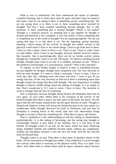What is next in meditation? We have understood the nature of attention, complete listening, that to listen there must be space and there must be sound in that space. And we are asking if there is something sacred, something holy. We are not saying there is or there is not. Is there something never touched by thought? Not that I have reached something beyond thought, that is silly nonsense. Is there something that is beyond thought? Which is not matter? Thought is a material process, so anything that is put together by thought is limited and therefore it isn't complete, it isn't the whole. Is there something that is completely out of the world of thought? We are inquiring together. We are not saying that there is or that there is not. We are inquiring, giving attention, listening—which means all the activity of thought has ended—except in the physical world where I have to do certain things. I have to go from here to there; I have to write a letter; I have to drive a car; I have to eat; I have to cook; I have to wash dishes. There I have to use thought, however limited, however routine. But inwardly, that is psychologically, there can be no further activity unless thought has completely come to an end. Obviously. To observe anything beyond thought, thought must come to an end. It is childish, immature to ask: "What is the method to end thought; is it concentration, control?" Who is the controller?

To inquire, to have further insight, to observe if there is something beyond, not put together by thought, thought must completely end. The very necessity to find out ends thought. If I want to climb a mountain, I have to train, I have to work day after day, climbing more and more and more. I have to put all my energy into that. So the very necessity to find out if there is something more than thought creates the energy that then ends thought. The very importance of ending thought to observe further brings about the ending of thought. It is as simple as that. Don't complicate it. If I want to swim, I have to learn. The intention to swim is stronger than the fear of swimming.

This is important, because thought, being limited, the limitation there has its own space, its own order. When there is the cessation of the activity of the limited thought then there is space, not only space in the brain, but *space*. Not the space that the self creates around itself, but the space that has no limit. Thought is limited and whatever it does will always be limited because in its very nature it is conditioned. When thought discovers for itself its limitation, and sees that its limitation is creating havoc in the world, then that very observation brings thought to an end, to discover something new. Then there is space, and silence.

That is, meditation is the understanding of and the ending of measurement, psychologically. It is the ending of becoming, and the seeing that thought is everlastingly limited. It may think of the limitless, but it is still born of the limited. So thought comes to an end. So the brain, which has been chattering along, muddled, limited, has suddenly become silent, without any compulsion, without any discipline, because it sees the fact, the truth. And the fact and the truth are beyond time.

Thought comes to an end. Then there is that sense of absolute silence in the brain. All the movement of thought has ended. It has ended but it can be brought into activity when there is necessity in the physical world. Now, it is quiet. It is silent. And where there is silence there must be space, immense space, because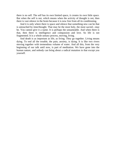there is no self. The self has its own limited space, it creates its own little space. But when the self is not, which means when the activity of thought is not, then there is vast silence in the brain because it is now free from all its conditioning.

And it is only where there is space and silence that something new can be that is untouched by time/thought. That may be the most holy, the most sacred—*may* be. You cannot give it a name. It is perhaps the unnameable. And when there is that, then there is intelligence and compassion and love. So life is not fragmented. It is a whole unitary process, moving, living.

And death is as important as life, as living. They go together. Living means dying. To end all the trouble, the pain, anxiety, is dying. It is like two rivers moving together with tremendous volume of water. And all this, from the very beginning of our talk until now, is part of meditation. We have gone into the human nature, and nobody can bring about a radical mutation in that except you yourself.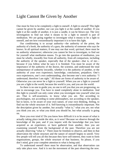### Light Cannot Be Given by Another

One must be free to be completely a light to oneself. *A light to oneself*! This light cannot be given by another, nor can you light it at the candle of another. If you light it at the candle of another, it is just a candle, it can be blown out. The very investigation to find out what it means to be a light to oneself is part of meditation. We are going together to investigate what it means to be a light to oneself, and see how extraordinarily important it is to have this light.

Our conditioning is to accept authority—the authority of the priest, the authority of a book, the authority of a guru, the authority of someone who says he knows. In all spiritual matters, if one may use that word, *spiritual*, there must be no authority whatsoever; otherwise you cannot be free to investigate, to find out for yourself what meditation means. To go into the question of meditation, you must be wholly, inwardly free from all authority, from all comparison, including the authority of the speaker, especially that of the speaker—that is, of me because if you follow what he says it is finished. You must be aware of the importance of the authority of the doctor, the scientist, and understand the total unimportance of authority inwardly, whether it is the authority of another, or the authority of your own experience, knowledge, conclusions, prejudices. One's own experiences, one's own understanding, also become one's own authority: "I understand, therefore I am right." All those are forms of authority to be aware of. Otherwise you can never be a light to yourself. When you are a light to yourself you are a light to the world, because the world is you, and you are the world.

So there is no one to guide you, no one to tell you that you are progressing, no one to encourage you. You have to stand completely alone in meditation. And this light to yourself can only come when you investigate into yourself what you are. That is self-awareness, to know what you are. Not according to psychologists, not according to some philosophers, not according to the speaker, but to know, to be aware of your own nature, of your own thinking, feeling, to find out the whole structure of it. Self-knowing is extraordinarily important. Not the description given by another, but actually "what is," what you are; not what you think you are, or what you think you should be, but what actually is going on.

Have you ever tried it? Do you know how difficult it is to be aware of what is actually taking place inside the skin, as it were? Because we observe through the knowledge of the past, and if you inquire with the knowledge that you have acquired as an experience, or have gathered from another, then you are examining yourself from the background of the past. Therefore you are not actually observing "what is." There must be freedom to observe, and then in that observation the whole structure and the nature of oneself begins to unroll. Very few people will tell you all this because they have self-interest, they want to form organizations, groups, the whole structure of that business. So please, if you don't mind, give your complete attention to what is being said.

To understand oneself there must be observation, and that observation can only take place *now*. And it is not the movement of the past observing the now.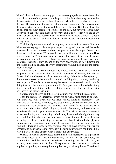When I observe the now from my past conclusions, prejudices, hopes, fears, that is an observation of the present from the past. I think I am observing the now, but the observation of the now can take place only when there is no observer who is the past. Observation of the now is extraordinarily important. The movement of the past meeting the present must end there; that is the now. But if you allow it to go on, then the now becomes the future, or the past, but never the actual now. Observation can only take place in the very doing of it—when you are angry, when you are greedy, to observe it as it is. Which means not to condemn it, not to judge it, but to watch it and let it flower and disappear. Do you understand the beauty of it?

Traditionally we are educated to suppress, or to move in a certain direction. What we are saying is: observe your anger, your greed, your sexual demands, whatever it is, and observe without the past so that the anger flowers and disappears, withers away. When you do that you will never be angry again. Have you ever done this? Do it some time and you will discover it for yourself. Allow observation in which there is no choice: just observe your greed, your envy, your jealousy, whatever it may be, and in the very observation of it, it flowers and undergoes a radical change. The very observation without the background brings about a change.

To be aware of oneself without any choice and to see what is actually happening in the now is to allow the whole movement of the self, the "me," to flower. And it undergoes a radical transformation, if there is no background, if there is no observer who is the background. In doing that, obviously, authority has no place. There is no intermediary between your observation and truth. In doing that, one becomes a light to oneself. Then you don't ask anybody at any time how to do something. In the very doing, which is the observing, there is the act, there is the change. Go at it!

So freedom to observe, and therefore no authority of any kind, is essential.

Then the search for experience, which we all want, must come to an end. I will show you why. Every day we have various kinds of experiences. The recording of it becomes a memory, and that memory distorts observation. If, for instance, you are a Christian, you have been conditioned for two thousand years in all your ideologies, beliefs, dogmas, rituals, the savior, and you want to experience that which you call—whatever it is. You will experience whatever it is because that is your conditioning. In India they have hundreds of gods and they are conditioned to that and so they have visions of them, because they see according to their conditioning. When we are bored with all the physical experiences, we want some other kind of experience, the spiritual experience, to find out if there is a God, to have visions. You will have visions, experiences, according to your background, obviously, because your mind is conditioned that way. Be aware of that, and see what is implied in experiences.

What is implied in experiences? There must be an experiencer to experience. The experiencer is all that he craves for, all that he has been told, his conditioning. And he wants to experience something that he calls God, or nirvana, or whatever it is. So he will experience it. But the word *experience* implies recognition, and recognition implies that you already know. Therefore it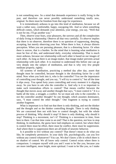is not something new. So a mind that demands experience is really living in the past, and therefore can never possibly understand something totally new, original. So there must be freedom from that urge for experience.

It is tremendously arduous to go into this kind of meditation, because we all want a rather easy, comfortable, happy, easygoing life. And so when something difficult comes, which demands your attention, your energy, you say, "Well that is not for me, I'll go another way."

Then, observe your fears, your pleasures, the sorrows and all the complexities of daily living in relationship. Observe all that very carefully. To *observe* implies that there is no observer, therefore there is no question of suppressing, denying, accepting, but merely observing your fear. When there is fear, it always distorts perception. When you are pursuing pleasure, that is a distorting factor. Or when there is sorrow, that is a burden. So the mind that is learning what meditation is must be free of this, and understand daily, everyday relationship. That is much more arduous, because our relationship with each other is based on our images of each other. As long as there is an image-maker, that image-maker prevents actual relationship with each other. It is essential to understand this before one can go very deeply into the subject of meditation, and that is why very few people meditate properly, rightly.

All systems of meditation, practicing a method day after day, assert that thought must be controlled, because thought is the disturbing factor for a still mind. Now when you look into it, who is the controller? You see the importance of controlling your thought, and you say, "I will try to control it," but all the time it slips away. You spend forty years controlling and every moment it is slipping away. So you have to ask who the controller is. And why is it so important to make such tremendous efforts to control? That means conflict between the thought that moves away and another thought that says, "I must control it." It is a battle all the time, a struggle, a conflict. So we must ask who is the controller. Is not the controller another thought? So one thought, which assumes dominance, says, "I must control the other thought." One fragment is trying to control another fragment.

What is important is to find out that there is only thinking, and not the thinker and the thought and so the thinker controlling thought. There is only thinking. We are concerned then not with how to control thought, but with the whole process of thinking. Why should it stop? If there is only thinking, why should it stop? Thinking is a movement, isn't it? Thinking is a movement in time, from here to there. Can that time come to an end? That is the question, not how to stop thinking. In meditation, the gurus have laid emphasis on control, but where there is control there must be effort, there must be conflict, there must be suppression. And where there is suppression there are all kinds of neurotic behavior.

Is it possible to live without any control? That doesn't mean to do what you like, be completely permissive. In your daily life, psychologically, can you live without any control whatsoever? You can. We don't know a life in which there is no shadow of control. We all know only control. Control exists where there is comparison. I compare myself with you and I want to be like you, because you are more intelligent, more bright, more spiritual. I want to be like you, so I make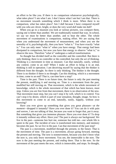an effort to be like you. If there is no comparison whatsoever psychologically, what takes place? I am what I am. I don't know what I am but I am that. There is no movement towards something which I think is more. When there is no comparison, what has taken place? Am I dull because I have compared myself with you who are clever, bright, or does the very word *dull* make me dull?

When you go to a museum you look at various pictures, you compare them, saying one is better than another. We are traditionally trained that way. In school, we say we must be better than another, and to beat the other. The whole movement of examinations is comparison, making effort. We are saying that when you understand the movement of measurement, and when you see the unreality of it, psychologically, then you have "what is." You have exactly "what is." You can only meet "what is" when you have energy. That energy had been dissipated in comparison, but now you have that energy to observe "what is," to observe the now. Therefore "what is" undergoes a radical transformation.

So thought has divided itself as the controller and the controlled. But there is only thinking; there is no controller or the controlled, but only the act of thinking. Thinking is a movement in time as measure. Can that naturally, easily, without any control, come to an end? When I make an effort to bring it to an end, thinking is still in operation. I am deceiving myself by saying that the thinker is different from the thought. So there is only thinking. The thinker is the thought. There is no thinker if there is no thought. Can this thinking, which is a movement in time, come to an end? That is, can time have a stop?

Time is the past. There is no future time, the future is only the past meeting the present, modifying it and moving on. Time is a movement from the past, modified but still moving on. That movement, which is the whole movement of knowledge, which is the whole movement of that which has been known, must stop. Unless you are free from that movement, there is no observation of the new. That movement must stop, but you can't stop it by will, which is to control. You can't stop it by desire, which is part of your sensation, thought, image. So how is this movement to come to an end, naturally, easily, happily, without your knowing?

Have you ever given up something that gives you great pleasure—*at the moment*—dropped it instantly? Have you ever done it? You can do it with pain and sorrow, I am not talking of that, because you want to forget that, put it away. But something that gives you immense pleasure. Have you ever done it? To drop it instantly without any effort. Have you? The past is always our background. We live in the past—someone *has* hurt me, someone *has* told me—our whole life is spent in the past. The incident of now is transformed into memory, and memory becomes the past. So we live in the past. Can that movement of the past stop?

The past is a movement, modified through the present, to the future. That is the movement of time. The past is a movement, always going forward, meeting the present and moving. The now is nonmovement, because you don't *know* what the now is, you only *know* movement. You see, the immovable is the now. The now is the past meeting the present, and *ending* there. That is the now. So the movement of the past meets the now, which is immovable, and stops. So thought,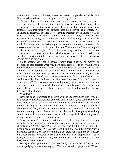which is a movement of the past, meets the present completely, and ends there. This has to be meditated over, thought over. You go into it.

The next thing is the mind, which is not only matter, the brain, it is also sensation and all the things that thought has put into that mind. It is consciousness, and in that consciousness there are all the various unconscious demands. Can that totality of consciousness be observed as a whole? Not fragment by fragment, because if we examine fragment by fragment it will be endless. It is only when there is an observation of the totality of consciousness that there is an ending of it, or the possibility of something else. So can this totality of consciousness be observed as a whole? It can if you will do it. When you look at a map with the desire to go to a certain place, there is a direction. To observe the whole map is to have no direction. That is simple. See how simple it is, don't make it complex. So in the same way, to look at this whole consciousness is to have no direction, which means to have no motive. When you can observe anything totally, yourself or your consciousness, there is no motive and therefore no direction.

So to observe your consciousness wholly there must be no motive, no direction. Is that possible when you have been trained to do everything with a motive? Action with a motive is what we are trained to do, educated for. All our religions say, everything says, you must have a motive. But the moment you have a motive, which is either pleasure or pain, reward or punishment, that gives you a direction and therefore you can never see the whole. If you understand that, see that actually, then you have no motive. You don't ask, "How am I to get rid of my motive?" You can only see something totally when there is no direction, when there is no center from which a direction can take place. The center is the motive. If there is no motive, there is no center and therefore no direction. All this is part of meditation.

What then?

Now the mind is prepared to observe without any movement. Have you got it? Because you have understood authority and all the rest, you stand completely alone to be a light to yourself. Therefore there is no impingement; the mind, the brain is not registering. So the mind now is without a single movement. Therefore it is silent; not with an imposed silence, not a cultivated silence, which has no meaning, but a silence that is not the result of stopping something, stopping noise. It is a natural outcome of daily living. And daily living has its beauty. Beauty is part of the nonmovement.

What is beauty? Is it the description? Is it the thing that you see, the proportions, the heights, the depths, the shadows, a painting or a sculpture by Michelangelo? What is beauty? Is it in the eye? Or is it out there? Or is it neither in your eye or out there? We say that a beautiful thing, beautiful architecture, a marvelous cathedral, or a lovely painting is out there. Or is it in the eye because it has been trained to observe, to see that what is ugly is not proportionate, has no depth, no style? Is beauty out there, or is it in the eye, or has it nothing to do with the eye or with the outside?

Beauty *is* when you are not. When you look, it is you who are looking, you who are judging, you who are saying, "That is a marvelous proportion," "That is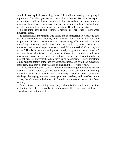so still, it has depth, it has such grandeur." It is all you looking, you giving it importance. But when you are not there, that is beauty. We want to express because that is self-fulfillment, but when that beauty is there, the expression of it may never take place. Beauty may be when you as a human being, with all your travail, your anxieties, pain, sorrow, are not there. Then there is beauty.

So the mind now is still, without a movement. Then what is there when movement stops?

Is compassion a movement? One thinks one is compassionate when one goes and does something for another, goes to some Indian village and helps the people. But all that is various forms of sentimentality, affection, and so on. We are asking something much more important, which is, when there is no movement then what takes place, what is there? Is it compassion? Or is it beyond all that? That is, is there something that is totally original and therefore sacred? We don't know what is sacred. We think our images in a church, a temple, or a mosque are sacred, but the images are put together by thought. And thought is a material process, movement. When there is no movement, is there something totally original, totally untouched by humanity, untouched by all the movement of thought? That may be that which is original and therefore most holy.

This is real meditation. To start from the very beginning not knowing. Please, if you start with knowing, you end up in doubt. If you start with not knowing, you end up with absolute truth, which is certainty. I wonder if you capture this. We began by saying we must investigate into ourselves, and ourselves is the known, therefore empty the known. So from that emptiness all the rest of it flows naturally.

Where there is something most holy, which is the whole movement of meditation, then life has a totally different meaning. It is never superficial, *never*. If you have this, nothing matters.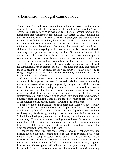# A Dimension Thought Cannot Touch

Wherever one goes in different parts of the world, one observes, from the crudest form to the most subtle, the endeavors of the mind to find something that is sacred, that is really holy. Wherever one goes there is constant inquiry of the human mind into whether there is something really sacred, divine, something that is not corruptible. To search for that, the priests throughout the world have said you must have faith in something that man has called "God." But can one find out about it and learn whether or not it exists at the behest of any particular religion or particular belief? Or is that merely the invention of a mind that is frightened, that sees everything in flux, sees everything is transient, and seeks something that is permanent, that is beyond time? One must be interested in it whether one believes or doesn't believe, because unless one comes upon it, learns about it, life will always be superficial. One may be moral—in the right sense of that word, without any compulsion, without any interference from society, from the culture—leading a life that is fairly harmonious, sane, balanced, not contradictory, not frightened, but unless one finds that thing that humanity has been seeking, however moral one may be, however socially active one is, trying to do good, and so on, life is shallow. To be truly moral, virtuous, is to be deeply within the area of order.

If one is at all serious, really concerned with the whole phenomenon of existence, it is important to learn for oneself whether there is something unnameable, beyond time, not put together by thought, and which is not an illusion of the human mind, craving beyond experience. One must learn about it, because that gives an astonishing depth to life—not only a significance but great beauty—in which there is no conflict, but a great sense of wholeness, a completeness, total sufficiency. If a mind would learn about that thing, naturally it must set aside the things that man has put together, which he calls divine, with all the religious rituals, beliefs, dogmas, in which he is conditioned.

I hope we are communicating with each other, and I hope you have actually set those aside, not merely verbally but deeply inwardly, so that you are completely capable of standing alone and not depending on anything, psychologically. Doubt is a good thing; however, doubt must be kept on a leash. To hold doubt intelligently on a leash is to inquire, but to doubt everything has no meaning. If you have inquired intelligently and seen for yourself all the implications of the structure that man has put together in his endeavor to find out if there is—or if there is not—an immortality, a state of mind that is timeless, that is not perishable, then you can begin to learn.

Thought can never find that state, because thought is not only time and measure but also the whole content of the past, conscious or unconscious. When thought says it is going to search for something real, it can project what it considers to be real, but that becomes an illusion. When thought sets out to practice a discipline in order to find, it is doing what most saints, religions, doctrines do. Various gurus will tell you to train your thought, control it, discipline it, force it to the patterns that they give you so that you will ultimately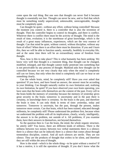come upon the real thing. But one sees that thought can never find it because thought is essentially not free. Thought can never be new, and to find that which must be something totally unperceived, unknowable, unrecognizable, thought must be completely quiet.

Can thought be quiet—without any effort, without being controlled? Because the moment you control it, there is a controller that is also the invention of thought. Then the controller begins to control its thoughts, and there is conflict. Wherever there is conflict there must be the activity of thought. The mind is the result of time, evolution; it is the storehouse of great knowledge, which is the result of a great many influences, experiences, which are the very essence of thought. Can that mind be quiet, without control, without discipline, without any form of effort? When there is an effort there must be distortion. If you and I learn this, then we will be able to function sanely, normally, healthily in everyday life, and at the same time there will be an extraordinary sense of freedom from thought.

Now, how is this to take place? This is what humanity has been seeking. We know very well that thought is a transient thing, that thought can be changed, modified, enlarged, and that thought cannot really penetrate into something that is not perceivable by any process of thought. Mankind asks how thought can be controlled because we see very clearly that only when the mind is completely still can we listen, that only when the mind is completely still can we hear or see something clearly.

Can the whole brain, mind, be completely still? Have you ever asked that question? If you have, and have found an answer, the answer must be according to your thinking. Can thought naturally realize its own limitation and, realizing its own limitation, be quiet? If you have observed your own brain operating, you have seen that the brain cells themselves are the content of the past. Every cell in the brain holds the memory of yesterday because the memory of yesterday gives great security to the brain; tomorrow is uncertainty and in the past there is certainty, in knowledge there is certainty. So the brain is the past, and therefore the brain is time. It can only think in terms of time: yesterday, today and tomorrow. Tomorrow is uncertain, but the past, through the present, makes tomorrow more certain. Can that brain, which has been trained, educated through millennia, be completely still? Please understand the problem first, because when we understand the problem with all its implications, clearly, wisely, intelligently, the answer is in the problem, not outside of it. All problems, if you examine them, have their answers in themselves, not beyond themselves.

So the question then is: Can the brain, the mind, the whole organic structure, be utterly still? You know, there are different kinds of stillness. There is the stillness between two noises; between two verbal statements there is a silence; there is a silence that can be induced; there is a silence that comes about through tremendous discipline, control. And all such silences are sterile. They are not silence. They are the products of thought that *wishes* to be silent, and therefore they are still within the area of thought.

How is the mind—which is the whole thing—to be quiet without a motive? If it has a motive, it is still the operation of thought. If you don't know what the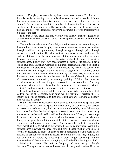answer is, I'm glad, because this requires tremendous honesty. To find out if there is really something not of this dimension but of a totally different dimension requires great honesty, in which there is no deception, therefore no wanting. The moment the mind *desires* to find that state, it will invent, it will be caught in an illusion, in a vision. That vision, that experience, is the projection of the past, and however enchanting, however pleasurable, however great it may be, it is still of the past.

If all that is very clear, not only verbally but actually, then the question is: Can the content of consciousness, which makes up consciousness, be completely emptied?

The whole inward content of our daily consciousness is the unconscious, and the conscious: what it has thought, what it has accumulated, what it has received through tradition, through culture, through struggle, through pain, through sorrow, through deception. The whole of that is my consciousness and yours. To find out if there is really something not of this dimension, but of a totally different dimension, requires great honesty. Without the content, what is consciousness? I only know my consciousness because of its content. I am a Hindu, Buddhist, Christian, Catholic, communist, socialist, an artist, a scientist, a philosopher. I am attached to a house, to my wife, to my friend. The conclusions, remembrances, the images that I have built through fifty, a hundred, or ten thousand years are the content. The content is my consciousness, as yours is, and that area of consciousness is time because it is the area of thought, it is the area of measurement, comparing, evaluating, judging. Within that area of consciousness are all my thoughts, unconscious and conscious. And any movement within that area is within the movement of consciousness with its content. Therefore space in consciousness with its content is very limited.

If we learn this together, it will be yours, not mine. When you are free of all leaders, free of all teachings, your mind will be *learning*. Therefore there is energy, you will be passionate to find out. But if you are following somebody, then you lose all energy.

Within the area of consciousness with its content, which is time, space is very small. You can expand the space by imagination, by contriving, by various processes of stretching it out, thinking more and more subtly, more deliberately, but it is still within the limited space of consciousness with its content. Any movement to go beyond itself is still within the content. When you take drugs, the result is still the activity of thought within that consciousness, and when you think you are going beyond it you are still within it because it is only an idea, or you experience the content more deeply. So one sees the content, which is the "me," which is the ego, which is the person, the so-called individual. Within that consciousness, however expanded, time and limited space must always exist. So for that consciously to make an effort to reach something beyond itself invites illusion. To set out to seek truth is absurd. To be told by a "master," a guru, that you will find it merely by practicing in order to get something, without understanding all the content and emptying it, is like the blind leading the blind.

Mind is its content. The brain is the past, and from that past thought functions. Thought is never free and never new. So the question arises: How can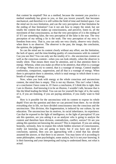that content be emptied? Not as a method, because the moment you practice a method somebody has given to you, or that you invent yourself, that becomes mechanical, and therefore it is still within the field of time and limited space. Can the mind see its own limitation, and can the very perception of that limitation be the ending of that limitation? Can it not ask *how* to empty the mind, but see totally the content that makes up consciousness, and perceive, listen to, all the movement of that consciousness, so that the very perception of it is the ending of it? If I see something false, the very perception of the false is the true. The very perception of my telling a lie is the truth. The very perception of my envy is freedom from envy. That is, you can only see very clearly, observe very clearly, when there is no observer. The observer is the past, the image, the conclusion, the opinion, the judgement.

So can the mind see its content clearly without any effort, see the limitation, the lack of space, and the time-binding quality of consciousness with its content? Can you see this? You can only see the totality of it—the unconscious content as well as the conscious content—when you can look silently, when the observer is totally silent. That means there must be attention, and in that attention there is energy. Whereas, when you make an effort to be attentive, that effort is a wastage of energy. When you try to control, that is a wastage of energy. Control implies conformity, comparison, suppression, and all that is a wastage of energy. When there is perception there is attention, which is total energy in which there is not a breath of wastage of energy.

Now, when you look with energy at the whole conscious and unconscious content, the mind then is empty. This is not my illusion. This isn't what I think, or a conclusion I have come to. If I have a conclusion, if I *think* this is right, then I am in illusion. And knowing it to be an illusion, I wouldn't talk, because that is like the blind leading the blind. You can see for yourself the logic of it, the sanity of it, if you are listening, if you are paying attention, if you really want to find out.

How is it possible for the unconscious with its content to expose its whole depth? First see the question and then we can proceed from there. As we divide everything else in life, we have divided consciousness into the conscious and the unconscious. This division, this fragmentation, is induced by our culture, by our education. The unconscious has its motives, its racial inheritance, its experience. Can that be exposed to the light of intelligence, to the light of perception? If you ask this question, are you asking it as an analyzer who is going to analyze the content and therefore have division, contradiction, conflict, sorrow? Or are you asking this question not knowing the answer? This is important. If you are asking honestly, seriously, how to expose this whole hidden structure of consciousness, really not knowing, you are going to learn; but if you have any kind of conclusion, opinion, then you are approaching with a mind that has already assumed the answer, or that there is no answer. You may know of it according to some philosopher, some psychologist, some analyst, but it is not *your* knowing. It is their knowing and your interpreting and trying to understand them, not what is actual.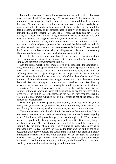For a mind that says, "I do not know"—which is the truth, which is honest what is there then? When you say, "I do not know," the content has no importance whatsoever, because the mind then is a fresh mind. It is the new mind that says, "I don't know." Therefore, when you say it, not just verbally for amusement, but with depth, with meaning, with honesty, that state of mind that does not know is empty of its consciousness, is empty of its content. It is the knowing that is the content. Do you see it? When the mind can never say it knows, it is always new, living, acting; therefore it has no anchorage. It is only when it is anchored that it gathers opinions, conclusions, and separation.

This is meditation. That is, meditation is to perceive the truth *each second* not the truth ultimately—to perceive the truth and the false each second. To perceive the truth that content is consciousness—that is the truth. To see the truth that I do not know how to deal with this thing—that is the truth, not knowing. Therefore not knowing is the state in which there is no content.

It is so terribly simple. You may object to that because you want something clever, complicated, put together. You object to seeing something extraordinarily simple, and therefore extraordinarily beautiful.

Can the mind, which is the brain, see its own limitation, the limitation of time, which is the bondage of time, and the limitation of space? As long as one lives within that limited space and time-binding movement, there must be suffering, there must be psychological despair, hope, and all the anxiety that follows. When the mind has perceived the truth of this, then what is time? Then is there a different dimension that thought cannot touch, and therefore cannot describe? We said thought is measure and therefore time. We live by measurement; all our structure of thinking is based on measurement, which is comparison. And thought as measurement tries to go beyond itself and discover for itself if there is something that is not measurable. To see the falseness of that is the truth. The truth is to see the false, and the false is when thought *seeks* that which is not measurable, which is not of time, which is not of the space of the content of consciousness.

When you put all these questions and inquire, when you learn as you go along, then your mind and your brain become extraordinarily quiet. There is no need for any discipline, any teacher, any guru, any system to make you quiet.

There are various kinds of meditation in the world at the present time. Man is too greedy, too eager to experience something that he doesn't know anything about. A fashionable thing now is yoga; it has been brought to the Western world to make people healthy, happy, young, to help them to find God—everything is involved in it now. Also now there is the pursuit of the occult, because it is so exciting. To the mind of someone who is pursuing truth, who is trying to understand life totally, who sees the false as the false, and the truth in the false, occult things are fairly obvious, and such a mind will not touch them. It is totally unimportant whether I can read your thoughts, or you can read my thoughts, whether I can see angels, fairies, have visions. We want something mysterious but we don't see the immense mystery in living, in the love of living. We don't see that, so we spend ourselves in things that don't matter.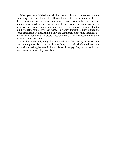When you have finished with all this, there is the central question: Is there something that is not describable? If you describe it, it is not the described. Is there something that is not of time, that is space without borders, that has immense space? When your space is limited, you become vicious; where there is no space you become violent, you want to break things. You want space, but the mind, thought, cannot give that space. Only when thought is quiet is there the space that has no frontier. And it is only the completely silent mind that knows that is aware, not knows—is aware whether there is or there is not something that is beyond all measurement.

And that is the only thing that is sacred—not the images, the rituals, the saviors, the gurus, the visions. Only that thing is sacred, which mind has come upon without asking because in itself it is totally empty. Only in that which has emptiness can a new thing take place.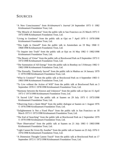## **SOURCES**

- "A New Consciousness" from *Krishnamurti's Journal* 24 September 1973 © 1982 Krishnamurti Foundation Trust, Ltd.
- "The Miracle of Attention" from the public talk in San Francisco on 25 March 1975 © 1975/1998 Krishnamurti Foundation Trust, Ltd.
- "Living in Goodness" from the public talk at Ojai on 7 April 1979 © 1979/1998 Krishnamurti Foundation Trust, Ltd.
- "This Light in Oneself" from the public talk in Amsterdam on 19 May 1968 © 1968/1998 Krishnamurti Foundation Trust, Ltd.
- "To Inquire into Truth" from the public talk at Ojai on 16 May 1982 © 1982/1998 Krishnamurti Foundation Trust, Ltd.
- "The Beauty of Virtue" from the public talk at Brockwood Park on 9 September 1973 © 1973/1998 Krishnamurti Foundation Trust, Ltd.
- "The Summation of All Energy" from the public talk in Bombay on 5 February 1982 © 1982/1998 Krishnamurti Foundation Trust, Ltd.
- "The Eternally, Timelessly Sacred" from the public talk in Madras on 14 January 1979 © 1979/1998 Krishnamurti Foundation Trust, Ltd.
- "What Is Creation?" from the public talk at Brockwood Park on 4 September 1983 © 1983/1998 Krishnamurti Foundation Trust, Ltd.
- "To Live without the Action of Will" from the public talk at Brockwood Park on 3 September 1978 © 1978/1998 Krishnamurti Foundation Trust, Ltd.
- "Harmony between the Known and Unknown" from the public talk at Ojai on 15 April 1973 © 1973/1998 Krishnamurti Foundation Trust, Ltd.
- "A Sacred Life" from the public talk at Saanen on 29 July 1973 © 1973/1998 Krishnamurti Foundation Trust, Ltd.
- "Observing from a Quiet Mind" from the public dialogue at Saanen on 1 August 1976 © 1976/1998 Krishnamurti Foundation Trust, Ltd.
- "Enlightenment Is Not a Fixed Place" from the public talk in San Francisco on 18 March 1973 © 1973/1998 Krishnamurti Foundation Trust, Ltd.
- "The End of Searching" from the public talk at Brockwood Park on 2 September 1979 © 1979/1998 Krishnamurti Foundation Trust, Ltd.
- "Pure Observation" from the public talk at Saanen on 21 July 1983 © 1983/1998 Krishnamurti Foundation Trust, Ltd.
- "Light Cannot Be Given By Another" from the public talk at Saanen on 25 July 1976 © 1976/1998 Krishnamurti Foundation Trust, Ltd.
- "A Dimension Thought Cannot Touch" from the public talk at Brockwood Park on 17 September 1972 © 1972/1998 Krishnamurti Foundation Trust, Ltd.